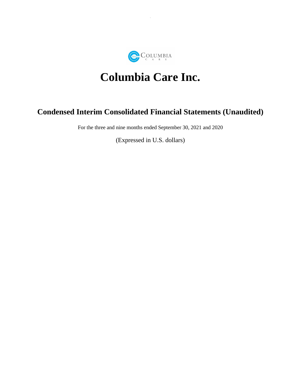

# **Columbia Care Inc.**

# **Condensed Interim Consolidated Financial Statements (Unaudited)**

For the three and nine months ended September 30, 2021 and 2020

(Expressed in U.S. dollars)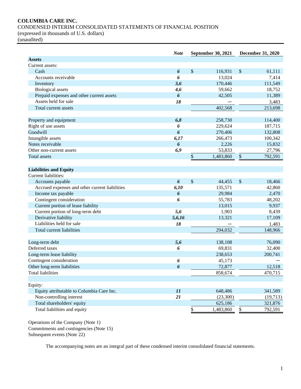# **COLUMBIA CARE INC.**

CONDENSED INTERIM CONSOLIDATED STATEMENTS OF FINANCIAL POSITION

(expressed in thousands of U.S. dollars)

(unaudited)

|                                                | <b>Note</b>      | <b>September 30, 2021</b> | <b>December 31, 2020</b>  |
|------------------------------------------------|------------------|---------------------------|---------------------------|
| <b>Assets</b>                                  |                  |                           |                           |
| Current assets:                                |                  |                           |                           |
| Cash                                           | $\boldsymbol{6}$ | \$<br>116,931             | \$<br>61,111              |
| Accounts receivable                            | 6                | 13,024                    | 7,414                     |
| Inventory                                      | 3,6              | 170,446                   | 111,549                   |
| <b>Biological</b> assets                       | 4,6              | 59,662                    | 18,752                    |
| Prepaid expenses and other current assets      | 6                | 42,505                    | 11,389                    |
| Assets held for sale                           | 18               |                           | 3,483                     |
| Total current assets                           |                  | 402,568                   | 213,698                   |
| Property and equipment                         | 6,8              | 258,730                   | 114,400                   |
| Right of use assets                            | 6                | 229,624                   | 187,715                   |
| Goodwill                                       | 6                | 270,406                   | 132,808                   |
| Intangible assets                              | 6,17             | 266,473                   | 100,342                   |
| Notes receivable                               | $\boldsymbol{6}$ | 2,226                     | 15,832                    |
| Other non-current assets                       | 6,9              | 53,833                    | 27,796                    |
| <b>Total assets</b>                            |                  | $\$$<br>1,483,860         | \$<br>792,591             |
|                                                |                  |                           |                           |
| <b>Liabilities and Equity</b>                  |                  |                           |                           |
| Current liabilities:                           |                  |                           |                           |
| Accounts payable                               | 6                | \$<br>44,455              | \$<br>18,466              |
| Accrued expenses and other current liabilities | 6,10             | 135,571                   | 42,860                    |
| Income tax payable                             | 6                | 29,984                    | 2,470                     |
| Contingent consideration                       | 6                | 55,783                    | 48,202                    |
| Current portion of lease liability             |                  | 13,015                    | 9,937                     |
| Current portion of long-term debt              | 5,6              | 1,903                     | 8,439                     |
| Derivative liability                           | 5,6,16           | 13,321                    | 17,109                    |
| Liabilities held for sale                      | 18               |                           | 1,483                     |
| Total current liabilities                      |                  | 294,032                   | 148,966                   |
| Long-term debt                                 | 5,6              | 138,108                   | 76,090                    |
| Deferred taxes                                 | 6                | 69,831                    | 32,400                    |
| Long-term lease liability                      |                  | 238,653                   | 200,741                   |
| Contingent consideration                       | 6                | 45,173                    |                           |
| Other long-term liabilities                    | 6                | 72,877                    | 12,518                    |
| <b>Total liabilities</b>                       |                  | 858,674                   | 470,715                   |
|                                                |                  |                           |                           |
| Equity:                                        |                  |                           |                           |
| Equity attributable to Columbia Care Inc.      | 11               | 648,486                   | 341,589                   |
| Non-controlling interest                       | 21               | (23,300)                  | (19,713)                  |
| Total shareholders' equity                     |                  | 625,186                   | 321,876                   |
| Total liabilities and equity                   |                  | \$<br>1,483,860           | $\overline{e}$<br>792,591 |

Operations of the Company (Note 1) Commitments and contingencies (Note 15) Subsequent events (Note 22)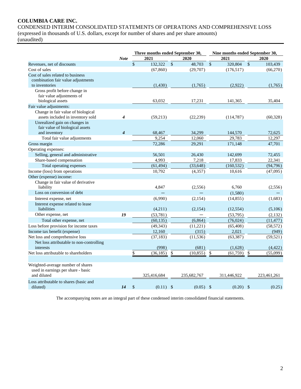# **COLUMBIA CARE INC.**

CONDENSED INTERIM CONSOLIDATED STATEMENTS OF OPERATIONS AND COMPREHENSIVE LOSS (expressed in thousands of U.S. dollars, except for number of shares and per share amounts)

(unaudited)

|                                                                             |                         | Three months ended September 30, |                 |               |                   | Nine months ended September 30, |                           |                  |  |  |  |
|-----------------------------------------------------------------------------|-------------------------|----------------------------------|-----------------|---------------|-------------------|---------------------------------|---------------------------|------------------|--|--|--|
|                                                                             | <b>Note</b>             |                                  | 2021            |               | 2020              | 2021                            |                           | 2020             |  |  |  |
| Revenues, net of discounts                                                  |                         | $\mathbb{S}$                     | 132,322         | $\mathsf{\$}$ | 48,703            | \$<br>320,804                   | $\mathcal{S}$             | 103,439          |  |  |  |
| Cost of sales                                                               |                         |                                  | (67, 860)       |               | (29,707)          | (176, 517)                      |                           | (66,270)         |  |  |  |
| Cost of sales related to business                                           |                         |                                  |                 |               |                   |                                 |                           |                  |  |  |  |
| combination fair value adjustments                                          |                         |                                  |                 |               |                   |                                 |                           |                  |  |  |  |
| to inventories                                                              |                         |                                  | (1,430)         |               | (1,765)           | (2,922)                         |                           | (1,765)          |  |  |  |
| Gross profit before change in                                               |                         |                                  |                 |               |                   |                                 |                           |                  |  |  |  |
| fair value adjustments of                                                   |                         |                                  |                 |               |                   |                                 |                           |                  |  |  |  |
| biological assets                                                           |                         |                                  | 63,032          |               | 17,231            | 141,365                         |                           | 35,404           |  |  |  |
| Fair value adjustments:                                                     |                         |                                  |                 |               |                   |                                 |                           |                  |  |  |  |
| Change in fair value of biological                                          |                         |                                  |                 |               |                   |                                 |                           |                  |  |  |  |
| assets included in inventory sold                                           | 4                       |                                  | (59,213)        |               | (22, 239)         | (114, 787)                      |                           | (60, 328)        |  |  |  |
| Unrealized gain on changes in                                               |                         |                                  |                 |               |                   |                                 |                           |                  |  |  |  |
| fair value of biological assets                                             | $\overline{\mathbf{4}}$ |                                  |                 |               |                   |                                 |                           |                  |  |  |  |
| and inventory                                                               |                         |                                  | 68,467<br>9,254 |               | 34,299            | 144,570<br>29,783               |                           | 72,625           |  |  |  |
| Total fair value adjustments                                                |                         |                                  |                 |               | 12,060            |                                 |                           | 12,297           |  |  |  |
| Gross margin                                                                |                         |                                  | 72,286          |               | 29,291            | 171,148                         |                           | 47,701           |  |  |  |
| Operating expenses:                                                         |                         |                                  | 56,501          |               |                   |                                 |                           |                  |  |  |  |
| Selling, general and administrative                                         |                         |                                  | 4,993           |               | 26,430<br>7,218   | 142,699                         |                           | 72,455<br>22,341 |  |  |  |
| Share-based compensation                                                    |                         |                                  |                 |               |                   | 17,833                          |                           |                  |  |  |  |
| Total operating expenses                                                    |                         |                                  | (61, 494)       |               | (33, 648)         | (160, 532)                      |                           | (94, 796)        |  |  |  |
| Income (loss) from operations                                               |                         |                                  | 10,792          |               | (4, 357)          | 10,616                          |                           | (47,095)         |  |  |  |
| Other (expense) income:                                                     |                         |                                  |                 |               |                   |                                 |                           |                  |  |  |  |
| Change in fair value of derivative<br>liability                             |                         |                                  | 4,847           |               | (2,556)           | 6,760                           |                           | (2,556)          |  |  |  |
| Loss on conversion of debt                                                  |                         |                                  |                 |               |                   |                                 |                           |                  |  |  |  |
|                                                                             |                         |                                  |                 |               |                   | (1,580)                         |                           |                  |  |  |  |
| Interest expense, net<br>Interest expense related to lease                  |                         |                                  | (6,990)         |               | (2,154)           | (14, 855)                       |                           | (1,683)          |  |  |  |
| liabilities                                                                 |                         |                                  | (4,211)         |               | (2,154)           | (12, 554)                       |                           | (5,106)          |  |  |  |
| Other expense, net                                                          | 19                      |                                  | (53,781)        |               |                   | (53,795)                        |                           | (2,132)          |  |  |  |
| Total other expense, net                                                    |                         |                                  | (60, 135)       |               | (6, 864)          | (76, 024)                       |                           | (11, 477)        |  |  |  |
| Loss before provision for income taxes                                      |                         |                                  | (49, 343)       |               |                   | (65, 408)                       |                           | (58, 572)        |  |  |  |
| Income tax benefit (expense)                                                |                         |                                  | 12,160          |               | (11,221)<br>(315) | 2,021                           |                           | (949)            |  |  |  |
|                                                                             |                         |                                  |                 |               |                   |                                 |                           | (59, 521)        |  |  |  |
| Net loss and comprehensive loss<br>Net loss attributable to non-controlling |                         |                                  | (37, 183)       |               | (11, 536)         | (63, 387)                       |                           |                  |  |  |  |
| interests                                                                   |                         |                                  | (998)           |               | (681)             | (1,628)                         |                           | (4, 422)         |  |  |  |
| Net loss attributable to shareholders                                       |                         | \$                               | (36, 185)       | \$            | (10, 855)         | \$<br>(61, 759)                 | $\boldsymbol{\mathsf{S}}$ | (55,099)         |  |  |  |
|                                                                             |                         |                                  |                 |               |                   |                                 |                           |                  |  |  |  |
| Weighted-average number of shares                                           |                         |                                  |                 |               |                   |                                 |                           |                  |  |  |  |
| used in earnings per share - basic                                          |                         |                                  |                 |               |                   |                                 |                           |                  |  |  |  |
| and diluted                                                                 |                         |                                  | 325,416,684     |               | 235,682,767       | 311,446,922                     |                           | 223,461,261      |  |  |  |
| Loss attributable to shares (basic and                                      |                         |                                  |                 |               |                   |                                 |                           |                  |  |  |  |
| diluted)                                                                    | 14                      | $\mathcal{S}$                    | $(0.11)$ \$     |               | $(0.05)$ \$       | $(0.20)$ \$                     |                           | (0.25)           |  |  |  |
|                                                                             |                         |                                  |                 |               |                   |                                 |                           |                  |  |  |  |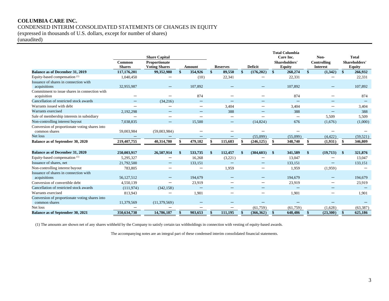# **COLUMBIA CARE INC.** CONDENSED INTERIM CONSOLIDATED STATEMENTS OF CHANGES IN EQUITY

(expressed in thousands of U.S. dollars, except for number of shares)

(unaudited)

|                                                                 | Common<br><b>Shares</b> | <b>Share Capital</b><br>Proportionate<br><b>Voting Shares</b> | Amount                   |     | <b>Reserves</b>                |               | <b>Deficit</b>           |              | <b>Total Columbia</b><br>Care Inc.<br>Shareholders'<br><b>Equity</b> |              | Non-<br>Controlling<br><b>Interest</b> |               | <b>Total</b><br>Shareholders'<br><b>Equity</b> |
|-----------------------------------------------------------------|-------------------------|---------------------------------------------------------------|--------------------------|-----|--------------------------------|---------------|--------------------------|--------------|----------------------------------------------------------------------|--------------|----------------------------------------|---------------|------------------------------------------------|
| <b>Balance as of December 31, 2019</b>                          | 117,176,201             | 99,352,980                                                    | \$<br>354,926            | \$  | 89,550                         | <sup>\$</sup> | (176,202)                | $\mathbf{s}$ | 268,274                                                              | \$           | (1, 342)                               | $\mathbf{\$}$ | 266,932                                        |
| Equity-based compensation <sup>(1)</sup>                        | 1,040,450               |                                                               | (10)                     |     | 22,341                         |               | $\qquad \qquad$          |              | 22,331                                                               |              | —                                      |               | 22,331                                         |
| Issuance of shares in connection with<br>acquisitions           | 32,955,987              |                                                               | 107,892                  |     |                                |               |                          |              | 107,892                                                              |              |                                        |               | 107,892                                        |
| Commitment to issue shares in connection with<br>acquisition    |                         |                                                               | 874                      |     |                                |               |                          |              | 874                                                                  |              |                                        |               | 874                                            |
| Cancellation of restricted stock awards                         |                         | (34,216)                                                      | $\qquad \qquad -$        |     |                                |               |                          |              |                                                                      |              |                                        |               |                                                |
| Warrants issued with debt                                       |                         |                                                               | $\qquad \qquad -$        |     | 3,404                          |               | $\qquad \qquad$          |              | 3,404                                                                |              | $\qquad \qquad$                        |               | 3,404                                          |
| Warrants exercised                                              | 2,192,298               |                                                               |                          |     | 388                            |               |                          |              | 388                                                                  |              |                                        |               | 388                                            |
| Sale of membership interests in subsidiary                      |                         |                                                               |                          |     | $\qquad \qquad$                |               |                          |              | —                                                                    |              | 5,509                                  |               | 5,509                                          |
| Non-controlling interest buyout                                 | 7,038,835               |                                                               | 15,500                   |     | $\qquad \qquad -$              |               | (14,824)                 |              | 676                                                                  |              | (1,676)                                |               | (1,000)                                        |
| Conversion of proportionate voting shares into<br>common shares | 59,003,984              | (59,003,984)                                                  |                          |     |                                |               |                          |              |                                                                      |              |                                        |               |                                                |
| Net loss                                                        |                         |                                                               |                          |     |                                |               | (55,099)                 |              | (55,099)                                                             |              | (4, 422)                               |               | (59.521)                                       |
| Balance as of September 30, 2020                                | 219,407,755             | 40,314,780                                                    | 479,182                  |     | 115,683                        |               | (246, 125)               | \$           | 348,740                                                              |              | (1,931)                                | S             | 346,809                                        |
| <b>Balance as of December 31, 2020</b>                          | 250,003,917             | 26,507,914                                                    | \$<br>533,735            | -\$ | 112,457                        | $\mathbf{A}$  | (304, 603)               | $\mathbf{s}$ | 341,589                                                              | $\mathbf{s}$ | (19,713)                               | $\mathbf{\$}$ | 321,876                                        |
| Equity-based compensation <sup>(1)</sup>                        | 5,295,327               |                                                               | 16,268                   |     | (3,221)                        |               |                          |              | 13,047                                                               |              |                                        |               | 13,047                                         |
| Issuance of shares, net                                         | 21,792,500              |                                                               | 133,151                  |     |                                |               |                          |              | 133.151                                                              |              | $\qquad \qquad -$                      |               | 133,151                                        |
| Non-controlling interest buyout                                 | 783,805                 |                                                               |                          |     | 1,959                          |               | $\qquad \qquad$          |              | 1,959                                                                |              | (1,959)                                |               |                                                |
| Issuance of shares in connection with<br>acquisitions           | 56,127,512              |                                                               | 194,679                  |     |                                |               |                          |              | 194,679                                                              |              |                                        |               | 194,679                                        |
| Conversion of convertible debt                                  | 4,550,139               | —                                                             | 23,919                   |     | $\qquad \qquad \longleftarrow$ |               | $\hspace{0.05cm}$        |              | 23,919                                                               |              | $\qquad \qquad$                        |               | 23,919                                         |
| Cancellation of restricted stock awards                         | (111.974)               | (342, 158)                                                    | $\overline{\phantom{m}}$ |     | $\overline{\phantom{0}}$       |               | $\overline{\phantom{0}}$ |              |                                                                      |              |                                        |               |                                                |
| Warrants exercised                                              | 813,943                 |                                                               | 1,901                    |     |                                |               |                          |              | 1,901                                                                |              |                                        |               | 1,901                                          |
| Conversion of proportionate voting shares into<br>common shares | 11,379,569              | (11, 379, 569)                                                |                          |     |                                |               |                          |              |                                                                      |              |                                        |               |                                                |
| Net loss                                                        |                         |                                                               |                          |     |                                |               | (61,759)                 |              | (61,759)                                                             |              | (1,628)                                |               | (63, 387)                                      |
| <b>Balance as of September 30, 2021</b>                         | 350,634,738             | 14,786,187                                                    | \$<br>903.653            | \$  | 111.195                        | \$            | (366, 362)               | $\mathbf{s}$ | 648,486                                                              | \$           | (23,300)                               | $\mathbf{\$}$ | 625,186                                        |

(1) The amounts are shown net of any shares withheld by the Company to satisfy certain tax withholdings in connection with vesting of equity-based awards.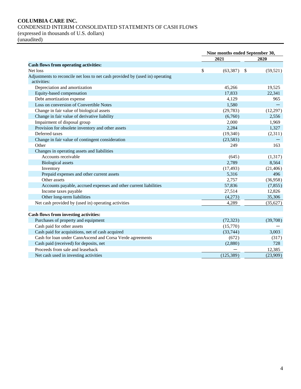# **COLUMBIA CARE INC.** CONDENSED INTERIM CONSOLIDATED STATEMENTS OF CASH FLOWS (expressed in thousands of U.S. dollars)

(unaudited)

|                                                                                              | Nine months ended September 30, |                   |           |  |
|----------------------------------------------------------------------------------------------|---------------------------------|-------------------|-----------|--|
|                                                                                              |                                 | 2021              | 2020      |  |
| <b>Cash flows from operating activities:</b>                                                 |                                 |                   |           |  |
| Net loss                                                                                     | \$                              | (63, 387)<br>- \$ | (59, 521) |  |
| Adjustments to reconcile net loss to net cash provided by (used in) operating<br>activities: |                                 |                   |           |  |
| Depreciation and amortization                                                                |                                 | 45,266            | 19,525    |  |
| Equity-based compensation                                                                    |                                 | 17,833            | 22,341    |  |
| Debt amortization expense                                                                    |                                 | 4,129             | 965       |  |
| Loss on conversion of Convertible Notes                                                      |                                 | 1,580             |           |  |
| Change in fair value of biological assets                                                    |                                 | (29, 783)         | (12, 297) |  |
| Change in fair value of derivative liability                                                 |                                 | (6,760)           | 2,556     |  |
| Impairment of disposal group                                                                 |                                 | 2,000             | 1,969     |  |
| Provision for obsolete inventory and other assets                                            |                                 | 2,284             | 1,327     |  |
| Deferred taxes                                                                               |                                 | (19,340)          | (2,311)   |  |
| Change in fair value of contingent consideration                                             |                                 | (23, 583)         |           |  |
| Other                                                                                        |                                 | 249               | 163       |  |
| Changes in operating assets and liabilities                                                  |                                 |                   |           |  |
| Accounts receivable                                                                          |                                 | (645)             | (1,317)   |  |
| <b>Biological</b> assets                                                                     |                                 | 2,789             | 8,564     |  |
| Inventory                                                                                    |                                 | (17, 493)         | (21, 406) |  |
| Prepaid expenses and other current assets                                                    |                                 | 5,316             | 496       |  |
| Other assets                                                                                 |                                 | 2,757             | (36,958)  |  |
| Accounts payable, accrued expenses and other current liabilities                             |                                 | 57,836            | (7, 855)  |  |
| Income taxes payable                                                                         |                                 | 27,514            | 12,826    |  |
| Other long-term liabilities                                                                  |                                 | (4,273)           | 35,306    |  |
| Net cash provided by (used in) operating activities                                          |                                 | 4,289             | (35,627)  |  |
| Cash flows from investing activities:                                                        |                                 |                   |           |  |
| Purchases of property and equipment                                                          |                                 | (72, 323)         | (39,708)  |  |
| Cash paid for other assets                                                                   |                                 | (15,770)          |           |  |
| Cash paid for acquisitions, net of cash acquired                                             |                                 | (33,744)          | 3,003     |  |
| Cash for loan under CannAscend and Corsa Verde agreements                                    |                                 | (672)             | (317)     |  |
| Cash paid (received) for deposits, net                                                       |                                 | (2,880)           | 728       |  |
| Proceeds from sale and leaseback                                                             |                                 |                   | 12,385    |  |
| Net cash used in investing activities                                                        |                                 | (125, 389)        | (23,909)  |  |
|                                                                                              |                                 |                   |           |  |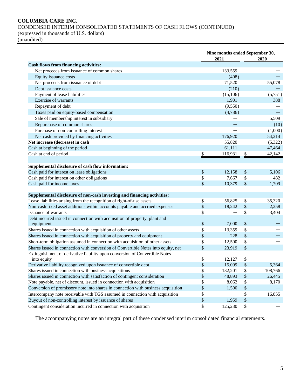# **COLUMBIA CARE INC.** CONDENSED INTERIM CONSOLIDATED STATEMENTS OF CASH FLOWS (CONTINUED)

(expressed in thousands of U.S. dollars)

(unaudited)

|                                                                                   | Nine months ended September 30, |           |                   |         |  |
|-----------------------------------------------------------------------------------|---------------------------------|-----------|-------------------|---------|--|
|                                                                                   |                                 | 2021      |                   | 2020    |  |
| <b>Cash flows from financing activities:</b>                                      |                                 |           |                   |         |  |
| Net proceeds from issuance of common shares                                       |                                 | 133,559   |                   |         |  |
| Equity issuance costs                                                             |                                 | (408)     |                   |         |  |
| Net proceeds from issuance of debt                                                |                                 | 71,520    |                   | 55,078  |  |
| Debt issuance costs                                                               |                                 | (210)     |                   |         |  |
| Payment of lease liabilities                                                      |                                 | (15, 106) |                   | (5,751) |  |
| Exercise of warrants                                                              |                                 | 1,901     |                   | 388     |  |
| Repayment of debt                                                                 |                                 | (9,550)   |                   |         |  |
| Taxes paid on equity-based compensation                                           |                                 | (4,786)   |                   |         |  |
| Sale of membership interest in subsidiary                                         |                                 |           |                   | 5,509   |  |
| Repurchase of common shares                                                       |                                 |           |                   | (10)    |  |
| Purchase of non-controlling interest                                              |                                 |           |                   | (1,000) |  |
| Net cash provided by financing activities                                         |                                 | 176,920   |                   | 54,214  |  |
| Net increase (decrease) in cash                                                   |                                 | 55,820    |                   | (5,322) |  |
| Cash at beginning of the period                                                   |                                 | 61,111    |                   | 47,464  |  |
| Cash at end of period                                                             | \$                              | 116,931   | \$                | 42,142  |  |
|                                                                                   |                                 |           |                   |         |  |
| Supplemental disclosure of cash flow information:                                 |                                 |           |                   |         |  |
| Cash paid for interest on lease obligations                                       | $\$\,$                          | 12,158    | \$                | 5,106   |  |
| Cash paid for interest on other obligations                                       | \$                              | 7,667     | \$                | 482     |  |
| Cash paid for income taxes                                                        | \$                              | 10,379    | \$                | 1,709   |  |
|                                                                                   |                                 |           |                   |         |  |
| Supplemental disclosure of non-cash investing and financing activities:           |                                 |           |                   |         |  |
| Lease liabilities arising from the recognition of right-of-use assets             | \$                              | 56,825    | \$                | 35,320  |  |
| Non-cash fixed asset additions within accounts payable and accrued expenses       | $\$\,$                          | 18,242    | $\boldsymbol{\$}$ | 2,258   |  |
| Issuance of warrants                                                              | \$                              |           | \$                | 3,404   |  |
| Debt incurred issued in connection with acquisition of property, plant and        |                                 |           |                   |         |  |
| equipment                                                                         | \$                              | 7,000     | \$                |         |  |
| Shares issued in connection with acquisition of other assets                      | \$                              | 13,359    | \$                |         |  |
| Shares issued in connection with acquisition of property and equipment            | \$                              | 228       | \$                |         |  |
| Short-term obligation assumed in connection with acquisition of other assets      | \$                              | 12,500    | \$                |         |  |
| Shares issued in connection with conversion of Convertible Notes into equity, net | \$                              | 23,919    | \$                |         |  |
| Extinguishment of derivative liability upon conversion of Convertible Notes       |                                 |           |                   |         |  |
| into equity                                                                       | \$                              | 12,127    | \$                |         |  |
| Derivative liability recognized upon issuance of convertible debt                 | \$                              | 15,099    | \$                | 5,364   |  |
| Shares issued in connection with business acquisitions                            | \$                              | 132,201   | \$                | 108,766 |  |
| Shares issued in connection with satisfaction of contingent consideration         | \$                              | 48,893    | \$                | 26,445  |  |
| Note payable, net of discount, issued in connection with acquisition              | \$                              | 8,062     | \$                | 8,170   |  |
| Conversion of promissory note into shares in connection with business acquisition | \$                              | 1,500     | $\$$              |         |  |
| Intercompany note receivable with TGS assumed in connection with acquisition      | \$                              |           | \$                | 16,855  |  |
| Buyout of non-controlling interest by issuance of shares                          | \$                              | 1,959     | \$                |         |  |
| Contingent consideration incurred in connection with acquisition                  | \$                              | 125,230   | \$                |         |  |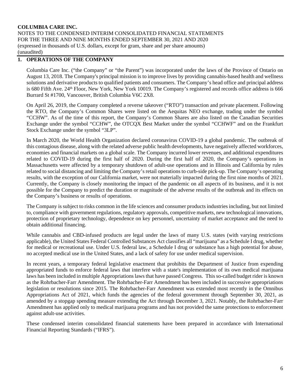# **1. OPERATIONS OF THE COMPANY**

Columbia Care Inc. ("the Company" or "the Parent") was incorporated under the laws of the Province of Ontario on August 13, 2018. The Company's principal mission is to improve lives by providing cannabis-based health and wellness solutions and derivative products to qualified patients and consumers. The Company's head office and principal address is 680 Fifth Ave. 24<sup>th</sup> Floor, New York, New York 10019. The Company's registered and records office address is 666 Burrard St #1700, Vancouver, British Columbia V6C 2X8.

On April 26, 2019, the Company completed a reverse takeover ("RTO") transaction and private placement. Following the RTO, the Company's Common Shares were listed on the Aequitas NEO exchange, trading under the symbol "CCHW". As of the time of this report, the Company's Common Shares are also listed on the Canadian Securities Exchange under the symbol "CCHW", the OTCQX Best Market under the symbol "CCHWF" and on the Frankfurt Stock Exchange under the symbol "3LP".

In March 2020, the World Health Organization declared coronavirus COVID-19 a global pandemic. The outbreak of this contagious disease, along with the related adverse public health developments, have negatively affected workforces, economies and financial markets on a global scale. The Company incurred lower revenues, and additional expenditures related to COVID-19 during the first half of 2020. During the first half of 2020, the Company's operations in Massachusetts were affected by a temporary shutdown of adult-use operations and in Illinois and California by rules related to social distancing and limiting the Company's retail operations to curb-side pick-up. The Company's operating results, with the exception of our California market, were not materially impacted during the first nine months of 2021. Currently, the Company is closely monitoring the impact of the pandemic on all aspects of its business, and it is not possible for the Company to predict the duration or magnitude of the adverse results of the outbreak and its effects on the Company's business or results of operations.

The Company is subject to risks common in the life sciences and consumer products industries including, but not limited to, compliance with government regulations, regulatory approvals, competitive markets, new technological innovations, protection of proprietary technology, dependence on key personnel, uncertainty of market acceptance and the need to obtain additional financing.

While cannabis and CBD-infused products are legal under the laws of many U.S. states (with varying restrictions applicable), the United States Federal Controlled Substances Act classifies all "marijuana" as a Schedule I drug, whether for medical or recreational use. Under U.S. federal law, a Schedule I drug or substance has a high potential for abuse, no accepted medical use in the United States, and a lack of safety for use under medical supervision.

In recent years, a temporary federal legislative enactment that prohibits the Department of Justice from expending appropriated funds to enforce federal laws that interfere with a state's implementation of its own medical marijuana laws has been included in multiple Appropriations laws that have passed Congress. This so-called budget rider is known as the Rohrbacher-Farr Amendment. The Rohrbacher-Farr Amendment has been included in successive appropriations legislation or resolutions since 2015. The Rohrbacher-Farr Amendment was extended most recently in the Omnibus Appropriations Act of 2021, which funds the agencies of the federal government through September 30, 2021, as amended by a stopgap spending measure extending the Act through December 3, 2021. Notably, the Rohrbacher-Farr Amendment has applied only to medical marijuana programs and has not provided the same protections to enforcement against adult-use activities.

These condensed interim consolidated financial statements have been prepared in accordance with International Financial Reporting Standards ("IFRS").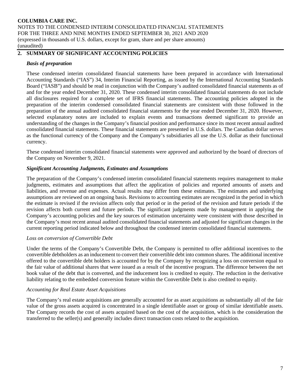# **2. SUMMARY OF SIGNIFICANT ACCOUNTING POLICIES**

# *Basis of preparation*

These condensed interim consolidated financial statements have been prepared in accordance with International Accounting Standards ("IAS") 34, Interim Financial Reporting, as issued by the International Accounting Standards Board ("IASB") and should be read in conjunction with the Company's audited consolidated financial statements as of and for the year ended December 31, 2020. These condensed interim consolidated financial statements do not include all disclosures required for a complete set of IFRS financial statements. The accounting policies adopted in the preparation of the interim condensed consolidated financial statements are consistent with those followed in the preparation of the annual audited consolidated financial statements for the year ended December 31, 2020. However, selected explanatory notes are included to explain events and transactions deemed significant to provide an understanding of the changes in the Company's financial position and performance since its most recent annual audited consolidated financial statements. These financial statements are presented in U.S. dollars. The Canadian dollar serves as the functional currency of the Company and the Company's subsidiaries all use the U.S. dollar as their functional currency.

These condensed interim consolidated financial statements were approved and authorized by the board of directors of the Company on November 9, 2021.

# *Significant Accounting Judgments, Estimates and Assumptions*

The preparation of the Company's condensed interim consolidated financial statements requires management to make judgments, estimates and assumptions that affect the application of policies and reported amounts of assets and liabilities, and revenue and expenses. Actual results may differ from these estimates. The estimates and underlying assumptions are reviewed on an ongoing basis. Revisions to accounting estimates are recognized in the period in which the estimate is revised if the revision affects only that period or in the period of the revision and future periods if the revision affects both current and future periods. The significant judgments made by management in applying the Company's accounting policies and the key sources of estimation uncertainty were consistent with those described in the Company's most recent annual audited consolidated financial statements and adjusted for significant changes in the current reporting period indicated below and throughout the condensed interim consolidated financial statements.

# *Loss on conversion of Convertible Debt*

Under the terms of the Company's Convertible Debt, the Company is permitted to offer additional incentives to the convertible debtholders as an inducement to convert their convertible debt into common shares. The additional incentive offered to the convertible debt holders is accounted for by the Company by recognizing a loss on conversion equal to the fair value of additional shares that were issued as a result of the incentive program. The difference between the net book value of the debt that is converted, and the inducement loss is credited to equity. The reduction in the derivative liability relating to the embedded conversion feature within the Convertible Debt is also credited to equity.

# *Accounting for Real Estate Asset Acquisitions*

The Company's real estate acquisitions are generally accounted for as asset acquisitions as substantially all of the fair value of the gross assets acquired is concentrated in a single identifiable asset or group of similar identifiable assets. The Company records the cost of assets acquired based on the cost of the acquisition, which is the consideration the transferred to the seller(s) and generally includes direct transaction costs related to the acquisition.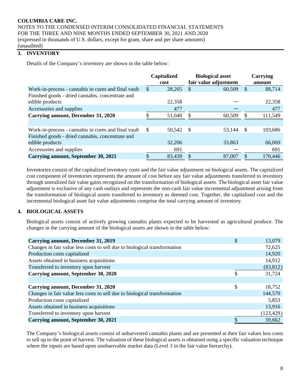# **3. INVENTORY**

Details of the Company's inventory are shown in the table below:

|                                                     | Capitalized  |        | <b>Biological asset</b> |        |     | <b>Carrying</b> |
|-----------------------------------------------------|--------------|--------|-------------------------|--------|-----|-----------------|
|                                                     |              | cost   | fair value adjustment   |        |     | amount          |
| Work-in-process - cannabis in cures and final vault | S            | 28,205 |                         | 60,509 | \$. | 88,714          |
| Finished goods - dried cannabis, concentrate and    |              |        |                         |        |     |                 |
| edible products                                     |              | 22,358 |                         |        |     | 22,358          |
| Accessories and supplies                            |              | 477    |                         |        |     | 477             |
| <b>Carrying amount, December 31, 2020</b>           |              | 51,040 |                         | 60,509 |     | 111,549         |
|                                                     |              |        |                         |        |     |                 |
| Work-in-process - cannabis in cures and final vault | <sup>S</sup> | 50,542 | - \$                    | 53,144 | \$  | 103,686         |
| Finished goods - dried cannabis, concentrate and    |              |        |                         |        |     |                 |
| edible products                                     |              | 32,206 |                         | 33,863 |     | 66,069          |
| Accessories and supplies                            |              | 691    |                         |        |     | 691             |
| <b>Carrying amount, September 30, 2021</b>          |              | 83,439 |                         | 87,007 |     | 170,446         |

Inventories consist of the capitalized inventory costs and the fair value adjustment on biological assets. The capitalized cost component of inventories represents the amount of cost before any fair value adjustments transferred to inventory through unrealized fair value gains recognized on the transformation of biological assets. The biological asset fair value adjustment is exclusive of any cash outlays and represents the non-cash fair value incremental adjustment arising from the transformation of biological assets transferred to inventory as deemed cost. Together, the capitalized cost and the incremental biological asset fair value adjustments comprise the total carrying amount of inventory.

# **4. BIOLOGICAL ASSETS**

Biological assets consist of actively growing cannabis plants expected to be harvested as agricultural produce. The changes in the carrying amount of the biological assets are shown in the table below:

| Carrying amount, December 31, 2019                                        | \$<br>13,079 |
|---------------------------------------------------------------------------|--------------|
| Changes in fair value less costs to sell due to biological transformation | 72,625       |
| Production costs capitalized                                              | 14,920       |
| Assets obtained in business acquisitions                                  | 14,912       |
| Transferred to inventory upon harvest                                     | (83, 812)    |
| Carrying amount, September 30, 2020                                       | \$<br>31,724 |
|                                                                           |              |
| Carrying amount, December 31, 2020                                        | \$<br>18,752 |
| Changes in fair value less costs to sell due to biological transformation | 144,570      |
| Production costs capitalized                                              | 5,853        |
| Assets obtained in business acquisitions                                  | 13,916       |
| Transferred to inventory upon harvest                                     | (123, 429)   |
| <b>Carrying amount, September 30, 2021</b>                                | 59,662       |

The Company's biological assets consist of unharvested cannabis plants and are presented at their fair values less costs to sell up to the point of harvest. The valuation of these biological assets is obtained using a specific valuation technique where the inputs are based upon unobservable market data (Level 3 in the fair value hierarchy).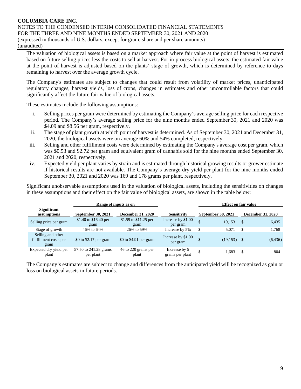The valuation of biological assets is based on a market approach where fair value at the point of harvest is estimated based on future selling prices less the costs to sell at harvest. For in-process biological assets, the estimated fair value at the point of harvest is adjusted based on the plants' stage of growth, which is determined by reference to days remaining to harvest over the average growth cycle.

The Company's estimates are subject to changes that could result from volatility of market prices, unanticipated regulatory changes, harvest yields, loss of crops, changes in estimates and other uncontrollable factors that could significantly affect the future fair value of biological assets.

These estimates include the following assumptions:

- i. Selling prices per gram were determined by estimating the Company's average selling price for each respective period. The Company's average selling price for the nine months ended September 30, 2021 and 2020 was \$4.09 and \$8.56 per gram, respectively.
- ii. The stage of plant growth at which point of harvest is determined. As of September 30, 2021 and December 31, 2020, the biological assets were on average 60% and 54% completed, respectively.
- iii. Selling and other fulfillment costs were determined by estimating the Company's average cost per gram, which was \$0.53 and \$2.72 per gram and equivalent gram of cannabis sold for the nine months ended September 30, 2021 and 2020, respectively.
- iv. Expected yield per plant varies by strain and is estimated through historical growing results or grower estimate if historical results are not available. The Company's average dry yield per plant for the nine months ended September 30, 2021 and 2020 was 169 and 178 grams per plant, respectively.

Significant unobservable assumptions used in the valuation of biological assets, including the sensitivities on changes in these assumptions and their effect on the fair value of biological assets, are shown in the table below:

|                                                    | Range of inputs as on              |                               | <b>Effect on fair value</b>      |    |                    |               |                          |
|----------------------------------------------------|------------------------------------|-------------------------------|----------------------------------|----|--------------------|---------------|--------------------------|
| <b>Significant</b><br>assumptions                  | September 30, 2021                 | December 31, 2020             | <b>Sensitivity</b>               |    | September 30, 2021 |               | <b>December 31, 2020</b> |
| Selling price per gram                             | \$1.40 to \$16.40 per<br>gram      | \$1.59 to \$11.25 per<br>gram | Increase by \$1.00<br>per gram   | Ф  | 19.153             | -\$           | 6,435                    |
| Stage of growth                                    | 46% to 64%                         | 26% to 59%                    | Increase by 5%                   | \$ | 5.071              | <sup>\$</sup> | 1,768                    |
| Selling and other<br>fulfillment costs per<br>gram | \$0 to \$2.17 per gram             | \$0 to \$4.91 per gram        | Increase by \$1.00<br>per gram   | \$ | $(19,153)$ \$      |               | (6, 436)                 |
| Expected dry yield per<br>plant                    | 57.50 to 241.28 grams<br>per plant | 46 to 220 grams per<br>plant  | Increase by 5<br>grams per plant | \$ | 1.683              | -S            | 804                      |

The Company's estimates are subject to change and differences from the anticipated yield will be recognized as gain or loss on biological assets in future periods.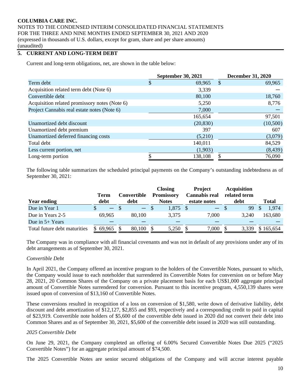# **5. CURRENT AND LONG-TERM DEBT**

Current and long-term obligations, net, are shown in the table below:

|                                               | <b>September 30, 2021</b> |   | <b>December 31, 2020</b> |
|-----------------------------------------------|---------------------------|---|--------------------------|
| Term debt                                     | \$<br>69,965              | S | 69,965                   |
| Acquisition related term debt (Note 6)        | 3,339                     |   |                          |
| Convertible debt                              | 80,100                    |   | 18,760                   |
| Acquisition related promissory notes (Note 6) | 5,250                     |   | 8,776                    |
| Project Cannabis real estate notes (Note 6)   | 7,000                     |   |                          |
|                                               | 165,654                   |   | 97,501                   |
| Unamortized debt discount                     | (20, 830)                 |   | (10,500)                 |
| Unamortized debt premium                      | 397                       |   | 607                      |
| Unamortized deferred financing costs          | (5,210)                   |   | (3,079)                  |
| Total debt                                    | 140,011                   |   | 84,529                   |
| Less current portion, net                     | (1,903)                   |   | (8, 439)                 |
| Long-term portion                             | 138,108                   | S | 76,090                   |

The following table summarizes the scheduled principal payments on the Company's outstanding indebtedness as of September 30, 2021:

|                              |                          |      |             |              | <b>Closing</b>    |    | <b>Project</b>       |  | <b>Acquisition</b> |  |              |
|------------------------------|--------------------------|------|-------------|--------------|-------------------|----|----------------------|--|--------------------|--|--------------|
|                              | Term                     |      | Convertible |              | <b>Promissory</b> |    | <b>Cannabis real</b> |  | related term       |  |              |
| <b>Year ending</b>           | debt                     | debt |             | <b>Notes</b> |                   |    | estate notes         |  | debt               |  | <b>Total</b> |
| Due in Year 1                | $\overline{\phantom{0}}$ |      | $-$ \$      |              | 1,875             | -8 | $-$ \$               |  | 99                 |  | 1,974        |
| Due in Years 2-5             | 69,965                   |      | 80.100      |              | 3,375             |    | 7.000                |  | 3,240              |  | 163,680      |
| Due in $5+$ Years            |                          |      |             |              |                   |    |                      |  |                    |  |              |
| Total future debt maturities | 69,965                   |      | 80,100      |              | 5,250             |    | 7,000                |  | 3.339              |  | \$165,654    |

The Company was in compliance with all financial covenants and was not in default of any provisions under any of its debt arrangements as of September 30, 2021.

# *Convertible Debt*

In April 2021, the Company offered an incentive program to the holders of the Convertible Notes, pursuant to which, the Company would issue to each noteholder that surrendered its Convertible Notes for conversion on or before May 28, 2021, 20 Common Shares of the Company on a private placement basis for each US\$1,000 aggregate principal amount of Convertible Notes surrendered for conversion. Pursuant to this incentive program, 4,550,139 shares were issued upon of conversion of \$13,160 of Convertible Notes.

These conversions resulted in recognition of a loss on conversion of \$1,580, write down of derivative liability, debt discount and debt amortization of \$12,127, \$2,855 and \$93, respectively and a corresponding credit to paid in capital of \$23,919. Convertible note holders of \$5,600 of the convertible debt issued in 2020 did not convert their debt into Common Shares and as of September 30, 2021, \$5,600 of the convertible debt issued in 2020 was still outstanding.

# *2025 Convertible Debt*

On June 29, 2021, the Company completed an offering of 6.00% Secured Convertible Notes Due 2025 ("2025 Convertible Notes") for an aggregate principal amount of \$74,500.

The 2025 Convertible Notes are senior secured obligations of the Company and will accrue interest payable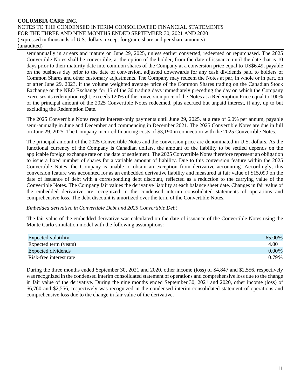semiannually in arrears and mature on June 29, 2025, unless earlier converted, redeemed or repurchased. The 2025 Convertible Notes shall be convertible, at the option of the holder, from the date of issuance until the date that is 10 days prior to their maturity date into common shares of the Company at a conversion price equal to US\$6.49, payable on the business day prior to the date of conversion, adjusted downwards for any cash dividends paid to holders of Common Shares and other customary adjustments. The Company may redeem the Notes at par, in whole or in part, on or after June 29, 2023, if the volume weighted average price of the Common Shares trading on the Canadian Stock Exchange or the NEO Exchange for 15 of the 30 trading days immediately preceding the day on which the Company exercises its redemption right, exceeds 120% of the conversion price of the Notes at a Redemption Price equal to 100% of the principal amount of the 2025 Convertible Notes redeemed, plus accrued but unpaid interest, if any, up to but excluding the Redemption Date.

The 2025 Convertible Notes require interest-only payments until June 29, 2025, at a rate of 6.0% per annum, payable semi-annually in June and December and commencing in December 2021. The 2025 Convertible Notes are due in full on June 29, 2025. The Company incurred financing costs of \$3,190 in connection with the 2025 Convertible Notes.

The principal amount of the 2025 Convertible Notes and the conversion price are denominated in U.S. dollars. As the functional currency of the Company is Canadian dollars, the amount of the liability to be settled depends on the applicable foreign exchange rate on the date of settlement. The 2025 Convertible Notes therefore represent an obligation to issue a fixed number of shares for a variable amount of liability. Due to this conversion feature within the 2025 Convertible Notes, the Company is unable to obtain an exception from derivative accounting. Accordingly, this conversion feature was accounted for as an embedded derivative liability and measured at fair value of \$15,099 on the date of issuance of debt with a corresponding debt discount, reflected as a reduction to the carrying value of the Convertible Notes. The Company fair values the derivative liability at each balance sheet date. Changes in fair value of the embedded derivative are recognized in the condensed interim consolidated statements of operations and comprehensive loss. The debt discount is amortized over the term of the Convertible Notes.

# *Embedded derivative in Convertible Debt and 2025 Convertible Debt*

The fair value of the embedded derivative was calculated on the date of issuance of the Convertible Notes using the Monte Carlo simulation model with the following assumptions:

| <b>Expected volatility</b> | 65.00%   |
|----------------------------|----------|
| Expected term (years)      | 4.00     |
| Expected dividends         | $0.00\%$ |
| Risk-free interest rate    | 0.79%    |

During the three months ended September 30, 2021 and 2020, other income (loss) of \$4,847 and \$2,556, respectively was recognized in the condensed interim consolidated statement of operations and comprehensive loss due to the change in fair value of the derivative. During the nine months ended September 30, 2021 and 2020, other income (loss) of \$6,760 and \$2,556, respectively was recognized in the condensed interim consolidated statement of operations and comprehensive loss due to the change in fair value of the derivative.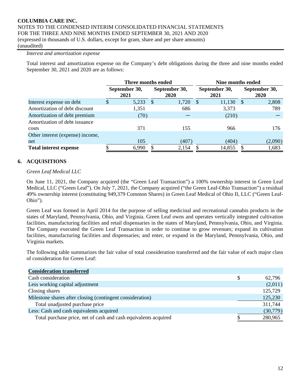#### *Interest and amortization expense*

Total interest and amortization expense on the Company's debt obligations during the three and nine months ended September 30, 2021 and 2020 are as follows:

|                                  |                       |       | Three months ended           | Nine months ended |                       |       |                              |  |  |
|----------------------------------|-----------------------|-------|------------------------------|-------------------|-----------------------|-------|------------------------------|--|--|
|                                  | September 30,<br>2021 |       | September 30,<br><b>2020</b> |                   | September 30,<br>2021 |       | September 30,<br><b>2020</b> |  |  |
| Interest expense on debt         | S                     | 5,233 | -S                           | 1,720             | 11,130<br>-S          | - S   | 2,808                        |  |  |
| Amortization of debt discount    |                       | 1,351 |                              | 686               | 3,373                 |       | 789                          |  |  |
| Amortization of debt premium     |                       | (70)  |                              |                   |                       | (210) |                              |  |  |
| Amortization of debt issuance    |                       |       |                              |                   |                       |       |                              |  |  |
| costs                            |                       | 371   |                              | 155               |                       | 966   | 176                          |  |  |
| Other interest (expense) income, |                       |       |                              |                   |                       |       |                              |  |  |
| net                              |                       | 105   |                              | (407)             |                       | (404) | (2,090)                      |  |  |
| <b>Total interest expense</b>    |                       | 6,990 |                              | 2,154             | 14,855                |       | 1,683                        |  |  |

# **6. ACQUISITIONS**

#### *Green Leaf Medical LLC*

On June 11, 2021, the Company acquired (the "Green Leaf Transaction") a 100% ownership interest in Green Leaf Medical, LLC ("Green Leaf"). On July 7, 2021, the Company acquired ("the Green Leaf-Ohio Transaction") a residual 49% ownership interest (constituting 949,379 Common Shares) in Green Leaf Medical of Ohio II, LLC ("Green Leaf-Ohio").

Green Leaf was formed in April 2014 for the purpose of selling medicinal and recreational cannabis products in the states of Maryland, Pennsylvania, Ohio, and Virginia. Green Leaf owns and operates vertically integrated cultivation facilities, manufacturing facilities and retail dispensaries in the states of Maryland, Pennsylvania, Ohio, and Virginia. The Company executed the Green Leaf Transaction in order to continue to grow revenues; expand its cultivation facilities, manufacturing facilities and dispensaries; and enter, or expand in the Maryland, Pennsylvania, Ohio, and Virginia markets.

The following table summarizes the fair value of total consideration transferred and the fair value of each major class of consideration for Green Leaf:

| <b>Consideration transferred</b>                                |   |          |
|-----------------------------------------------------------------|---|----------|
| Cash consideration                                              | S | 62.796   |
| Less working capital adjustment                                 |   | (2,011)  |
| Closing shares                                                  |   | 125,729  |
| Milestone shares after closing (contingent consideration)       |   | 125,230  |
| Total unadjusted purchase price                                 |   | 311,744  |
| Less: Cash and cash equivalents acquired                        |   | (30,779) |
| Total purchase price, net of cash and cash equivalents acquired |   | 280,965  |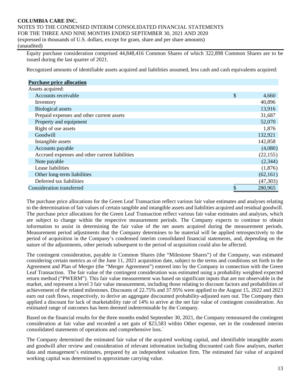Equity purchase consideration comprised 44,848,416 Common Shares of which 322,898 Common Shares are to be issued during the last quarter of 2021.

Recognized amounts of identifiable assets acquired and liabilities assumed, less cash and cash equivalents acquired:

| <b>Purchase price allocation</b>               |               |
|------------------------------------------------|---------------|
| Assets acquired:                               |               |
| Accounts receivable                            | \$<br>4,660   |
| Inventory                                      | 40,896        |
| <b>Biological</b> assets                       | 13,916        |
| Prepaid expenses and other current assets      | 31,687        |
| Property and equipment                         | 52,070        |
| Right of use assets                            | 1,876         |
| Goodwill                                       | 132,921       |
| Intangible assets                              | 142,858       |
| Accounts payable                               | (4,080)       |
| Accrued expenses and other current liabilities | (22, 155)     |
| Note payable                                   | (2,344)       |
| Lease liabilities                              | (1,876)       |
| Other long-term liabilities                    | (62, 161)     |
| Deferred tax liabilities                       | (47,303)      |
| Consideration transferred                      | \$<br>280,965 |

The purchase price allocations for the Green Leaf Transaction reflect various fair value estimates and analyses relating to the determination of fair values of certain tangible and intangible assets and liabilities acquired and residual goodwill. The purchase price allocations for the Green Leaf Transaction reflect various fair value estimates and analyses, which are subject to change within the respective measurement periods. The Company expects to continue to obtain information to assist in determining the fair value of the net assets acquired during the measurement periods. Measurement period adjustments that the Company determines to be material will be applied retrospectively to the period of acquisition in the Company's condensed interim consolidated financial statements, and, depending on the nature of the adjustments, other periods subsequent to the period of acquisition could also be affected.

The contingent consideration, payable in Common Shares (the "Milestone Shares") of the Company, was estimated considering certain metrics as of the June 11, 2021 acquisition date, subject to the terms and conditions set forth in the Agreement and Plan of Merger (the "Merger Agreement") entered into by the Company in connection with the Green Leaf Transaction. The fair value of the contingent consideration was estimated using a probability weighted expected return method ("PWERM"). This fair value measurement was based on significant inputs that are not observable in the market, and represent a level 3 fair value measurement, including those relating to discount factors and probabilities of achievement of the related milestones. Discounts of 22.75% and 37.95% were applied to the August 15, 2022 and 2023 earn out cash flows, respectively, to derive an aggregate discounted probability-adjusted earn out. The Company then applied a discount for lack of marketability rate of 14% to arrive at the net fair value of contingent consideration. An estimated range of outcomes has been deemed indeterminable by the Company.

Based on the financial results for the three months ended September 30, 2021, the Company remeasured the contingent consideration at fair value and recorded a net gain of \$23,583 within Other expense, net in the condensed interim consolidated statements of operations and comprehensive loss.`

The Company determined the estimated fair value of the acquired working capital, and identifiable intangible assets and goodwill after review and consideration of relevant information including discounted cash flow analyses, market data and management's estimates, prepared by an independent valuation firm. The estimated fair value of acquired working capital was determined to approximate carrying value.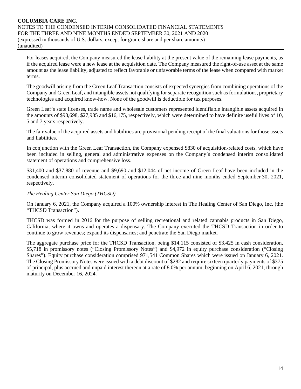For leases acquired, the Company measured the lease liability at the present value of the remaining lease payments, as if the acquired lease were a new lease at the acquisition date. The Company measured the right-of-use asset at the same amount as the lease liability, adjusted to reflect favorable or unfavorable terms of the lease when compared with market terms.

The goodwill arising from the Green Leaf Transaction consists of expected synergies from combining operations of the Company and Green Leaf, and intangible assets not qualifying for separate recognition such as formulations, proprietary technologies and acquired know-how. None of the goodwill is deductible for tax purposes.

Green Leaf's state licenses, trade name and wholesale customers represented identifiable intangible assets acquired in the amounts of \$98,698, \$27,985 and \$16,175, respectively, which were determined to have definite useful lives of 10, 5 and 7 years respectively.

The fair value of the acquired assets and liabilities are provisional pending receipt of the final valuations for those assets and liabilities.

In conjunction with the Green Leaf Transaction, the Company expensed \$830 of acquisition-related costs, which have been included in selling, general and administrative expenses on the Company's condensed interim consolidated statement of operations and comprehensive loss.

\$31,400 and \$37,880 of revenue and \$9,690 and \$12,044 of net income of Green Leaf have been included in the condensed interim consolidated statement of operations for the three and nine months ended September 30, 2021, respectively.

# *The Healing Center San Diego (THCSD)*

On January 6, 2021, the Company acquired a 100% ownership interest in The Healing Center of San Diego, Inc. (the "THCSD Transaction").

THCSD was formed in 2016 for the purpose of selling recreational and related cannabis products in San Diego, California, where it owns and operates a dispensary. The Company executed the THCSD Transaction in order to continue to grow revenues; expand its dispensaries; and penetrate the San Diego market.

The aggregate purchase price for the THCSD Transaction, being \$14,115 consisted of \$3,425 in cash consideration, \$5,718 in promissory notes ("Closing Promissory Notes") and \$4,972 in equity purchase consideration ("Closing Shares"). Equity purchase consideration comprised 971,541 Common Shares which were issued on January 6, 2021. The Closing Promissory Notes were issued with a debt discount of \$282 and require sixteen quarterly payments of \$375 of principal, plus accrued and unpaid interest thereon at a rate of 8.0% per annum, beginning on April 6, 2021, through maturity on December 16, 2024.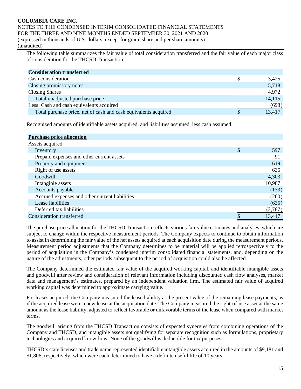# **COLUMBIA CARE INC.** NOTES TO THE CONDENSED INTERIM CONSOLIDATED FINANCIAL STATEMENTS

FOR THE THREE AND NINE MONTHS ENDED SEPTEMBER 30, 2021 AND 2020

(expressed in thousands of U.S. dollars, except for gram, share and per share amounts) (unaudited)

The following table summarizes the fair value of total consideration transferred and the fair value of each major class of consideration for the THCSD Transaction:

| <b>Consideration transferred</b>                                |        |
|-----------------------------------------------------------------|--------|
| Cash consideration                                              | 3,425  |
| Closing promissory notes                                        | 5,718  |
| <b>Closing Shares</b>                                           | 4,972  |
| Total unadjusted purchase price                                 | 14,115 |
| Less: Cash and cash equivalents acquired                        | (698)  |
| Total purchase price, net of cash and cash equivalents acquired | 13,417 |

Recognized amounts of identifiable assets acquired, and liabilities assumed, less cash assumed:

| <b>Purchase price allocation</b>               |           |
|------------------------------------------------|-----------|
| Assets acquired:                               |           |
| Inventory                                      | \$<br>597 |
| Prepaid expenses and other current assets      | 91        |
| Property and equipment                         | 619       |
| Right of use assets                            | 635       |
| Goodwill                                       | 4,303     |
| Intangible assets                              | 10,987    |
| Accounts payable                               | (133)     |
| Accrued expenses and other current liabilities | (260)     |
| Lease liabilities                              | (635)     |
| Deferred tax liabilities                       | (2,787)   |
| Consideration transferred                      | 13,417    |

The purchase price allocation for the THCSD Transaction reflects various fair value estimates and analyses, which are subject to change within the respective measurement periods. The Company expects to continue to obtain information to assist in determining the fair value of the net assets acquired at each acquisition date during the measurement periods. Measurement period adjustments that the Company determines to be material will be applied retrospectively to the period of acquisition in the Company's condensed interim consolidated financial statements, and, depending on the nature of the adjustments, other periods subsequent to the period of acquisition could also be affected.

The Company determined the estimated fair value of the acquired working capital, and identifiable intangible assets and goodwill after review and consideration of relevant information including discounted cash flow analyses, market data and management's estimates, prepared by an independent valuation firm. The estimated fair value of acquired working capital was determined to approximate carrying value.

For leases acquired, the Company measured the lease liability at the present value of the remaining lease payments, as if the acquired lease were a new lease at the acquisition date. The Company measured the right-of-use asset at the same amount as the lease liability, adjusted to reflect favorable or unfavorable terms of the lease when compared with market terms.

The goodwill arising from the THCSD Transaction consists of expected synergies from combining operations of the Company and THCSD, and intangible assets not qualifying for separate recognition such as formulations, proprietary technologies and acquired know-how. None of the goodwill is deductible for tax purposes.

THCSD's state licenses and trade name represented identifiable intangible assets acquired in the amounts of \$9,181 and \$1,806, respectively, which were each determined to have a definite useful life of 10 years.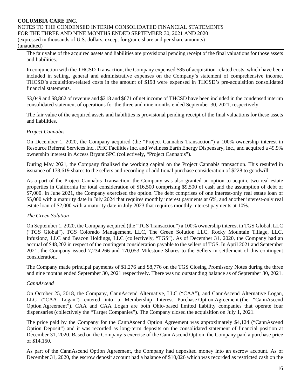The fair value of the acquired assets and liabilities are provisional pending receipt of the final valuations for those assets and liabilities.

In conjunction with the THCSD Transaction, the Company expensed \$85 of acquisition-related costs, which have been included in selling, general and administrative expenses on the Company's statement of comprehensive income. THCSD's acquisition-related costs in the amount of \$198 were expensed in THCSD's pre-acquisition consolidated financial statements.

\$3,049 and \$8,862 of revenue and \$218 and \$671 of net income of THCSD have been included in the condensed interim consolidated statement of operations for the three and nine months ended September 30, 2021, respectively.

The fair value of the acquired assets and liabilities is provisional pending receipt of the final valuations for these assets and liabilities.

# *Project Cannabis*

On December 1, 2020, the Company acquired (the "Project Cannabis Transaction") a 100% ownership interest in Resource Referral Services Inc., PHC Facilities Inc. and Wellness Earth Energy Dispensary, Inc., and acquired a 49.9% ownership interest in Access Bryant SPC (collectively, "Project Cannabis").

During May 2021, the Company finalized the working capital on the Project Cannabis transaction. This resulted in issuance of 178,619 shares to the sellers and recording of additional purchase consideration of \$228 to goodwill.

As a part of the Project Cannabis Transaction, the Company was also granted an option to acquire two real estate properties in California for total consideration of \$16,500 comprising \$9,500 of cash and the assumption of debt of \$7,000. In June 2021, the Company exercised the option. The debt comprises of one interest-only real estate loan of \$5,000 with a maturity date in July 2024 that requires monthly interest payments at 6%, and another interest-only real estate loan of \$2,000 with a maturity date in July 2023 that requires monthly interest payments at 10%.

# *The Green Solution*

On September 1, 2020, the Company acquired (the "TGS Transaction") a 100% ownership interest in TGS Global, LLC ("TGS Global"), TGS Colorado Management, LLC, The Green Solution LLC, Rocky Mountain Tillage, LLC, Infuzionz, LLC and Beacon Holdings, LLC (collectively, "TGS"). As of December 31, 2020, the Company had an accrual of \$48,202 in respect of the contingent consideration payable to the sellers of TGS. In April 2021 and September 2021, the Company issued 7,234,266 and 170,053 Milestone Shares to the Sellers in settlement of this contingent consideration.

The Company made principal payments of \$1,276 and \$8,776 on the TGS Closing Promissory Notes during the three and nine months ended September 30, 2021 respectively. There was no outstanding balance as of September 30, 2021.

# *CannAscend*

On October 25, 2018, the Company, CannAscend Alternative, LLC ("CAA"), and CannAscend Alternative Logan, LLC ("CAA Logan") entered into a Membership Interest Purchase Option Agreement (the "CannAscend Option Agreement"). CAA and CAA Logan are both Ohio-based limited liability companies that operate four dispensaries (collectively the "Target Companies"). The Company closed the acquisition on July 1, 2021.

The price paid by the Company for the CannAscend Option Agreement was approximately \$4,124 ("CannAscend Option Deposit") and it was recorded as long-term deposits on the consolidated statement of financial position at December 31, 2020. Based on the Company's exercise of the CannAscend Option, the Company paid a purchase price of \$14,150.

As part of the CannAscend Option Agreement, the Company had deposited money into an escrow account. As of December 31, 2020, the escrow deposit account had a balance of \$10,026 which was recorded as restricted cash on the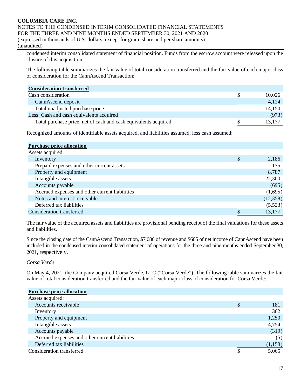condensed interim consolidated statement of financial position. Funds from the escrow account were released upon the closure of this acquisition.

The following table summarizes the fair value of total consideration transferred and the fair value of each major class of consideration for the CannAscend Transaction:

| <b>Consideration transferred</b>                                |        |
|-----------------------------------------------------------------|--------|
| Cash consideration                                              | 10,026 |
| CannAscend deposit                                              | 4,124  |
| Total unadjusted purchase price                                 | 14,150 |
| Less: Cash and cash equivalents acquired                        | (973)  |
| Total purchase price, net of cash and cash equivalents acquired | 13,177 |

Recognized amounts of identifiable assets acquired, and liabilities assumed, less cash assumed:

| <b>Purchase price allocation</b>               |             |
|------------------------------------------------|-------------|
| Assets acquired:                               |             |
| Inventory                                      | \$<br>2,186 |
| Prepaid expenses and other current assets      | 175         |
| Property and equipment                         | 8,787       |
| Intangible assets                              | 22,300      |
| Accounts payable                               | (695)       |
| Accrued expenses and other current liabilities | (1,695)     |
| Notes and interest receivable                  | (12, 358)   |
| Deferred tax liabilities                       | (5,523)     |
| Consideration transferred                      | 13,177      |

The fair value of the acquired assets and liabilities are provisional pending receipt of the final valuations for these assets and liabilities.

Since the closing date of the CannAscend Transaction, \$7,686 of revenue and \$605 of net income of CannAscend have been included in the condensed interim consolidated statement of operations for the three and nine months ended September 30, 2021, respectively.

# *Corsa Verde*

On May 4, 2021, the Company acquired Corsa Verde, LLC ("Corsa Verde"). The following table summarizes the fair value of total consideration transferred and the fair value of each major class of consideration for Corsa Verde:

| <b>Purchase price allocation</b>               |           |
|------------------------------------------------|-----------|
| Assets acquired:                               |           |
| Accounts receivable                            | \$<br>181 |
| Inventory                                      | 362       |
| Property and equipment                         | 1,250     |
| Intangible assets                              | 4,754     |
| Accounts payable                               | (319)     |
| Accrued expenses and other current liabilities | (5)       |
| Deferred tax liabilities                       | (1,158)   |
| Consideration transferred                      | 5,065     |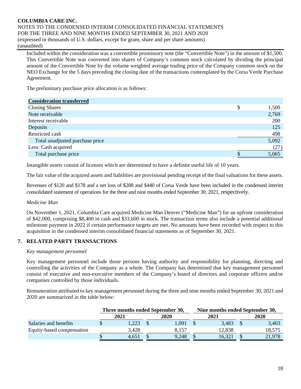Included within the consideration was a convertible promissory note (the "Convertible Note") in the amount of \$1,500. This Convertible Note was converted into shares of Company's common stock calculated by dividing the principal amount of the Convertible Note by the volume weighted average trading price of the Company common stock on the NEO Exchange for the 5 days preceding the closing date of the transactions contemplated by the Corsa Verde Purchase Agreement.

The preliminary purchase price allocation is as follows:

| <b>Consideration transferred</b> |   |       |
|----------------------------------|---|-------|
| <b>Closing Shares</b>            | S | 1,500 |
| Note receivable                  |   | 2,769 |
| Interest receivable              |   | 200   |
| Deposits                         |   | 125   |
| Restricted cash                  |   | 498   |
| Total unadjusted purchase price  |   | 5,092 |
| Less: Cash acquired              |   | (27)  |
| Total purchase price             |   | 5,065 |

Intangible assets consist of licenses which are determined to have a definite useful life of 10 years.

The fair value of the acquired assets and liabilities are provisional pending receipt of the final valuations for these assets.

Revenues of \$120 and \$178 and a net loss of \$288 and \$440 of Corsa Verde have been included in the condensed interim consolidated statement of operations for the three and nine months ended September 30, 2021, respectively.

# *Medicine Man*

On November 1, 2021, Columbia Care acquired Medicine Man Denver ("Medicine Man") for an upfront consideration of \$42,000, comprising \$8,400 in cash and \$33,600 in stock. The transaction terms also include a potential additional milestone payment in 2022 if certain performance targets are met. No amounts have been recorded with respect to this acquisition in the condensed interim consolidated financial statements as of September 30, 2021.

# **7. RELATED PARTY TRANSACTIONS**

# *Key management personnel*

Key management personnel include those persons having authority and responsibility for planning, directing and controlling the activities of the Company as a whole. The Company has determined that key management personnel consist of executive and non-executive members of the Company's board of directors and corporate officers and/or companies controlled by those individuals.

Remuneration attributed to key management personnel during the three and nine months ended September 30, 2021 and 2020 are summarized in the table below:

|                           |      | Three months ended September 30, |  |             | Nine months ended September 30, |        |             |        |  |
|---------------------------|------|----------------------------------|--|-------------|---------------------------------|--------|-------------|--------|--|
|                           | 2021 |                                  |  | <b>2020</b> |                                 | 2021   | <b>2020</b> |        |  |
| Salaries and benefits     |      | 1.223                            |  | 1.091       |                                 | 3.483  |             | 3,403  |  |
| Equity-based compensation |      | 3.428                            |  | 8.157       |                                 | 12,838 |             | 18,575 |  |
|                           |      | 4.651                            |  | 9,248       |                                 | 16.321 |             | 21,978 |  |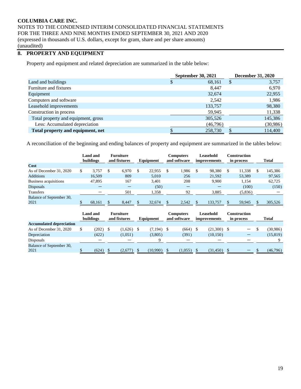# **8. PROPERTY AND EQUIPMENT**

Property and equipment and related depreciation are summarized in the table below:

|                                     | <b>September 30, 2021</b> | <b>December 31, 2020</b> |
|-------------------------------------|---------------------------|--------------------------|
| Land and buildings                  | 68,161<br>\$              | 3,757<br>S               |
| Furniture and fixtures              | 8.447                     | 6,970                    |
| Equipment                           | 32,674                    | 22,955                   |
| Computers and software              | 2,542                     | 1,986                    |
| Leasehold improvements              | 133,757                   | 98,380                   |
| Construction in process             | 59,945                    | 11,338                   |
| Total property and equipment, gross | 305,526                   | 145,386                  |
| Less: Accumulated depreciation      | (46,796)                  | (30, 986)                |
| Total property and equipment, net   | 258,730                   | 114,400                  |

A reconciliation of the beginning and ending balances of property and equipment are summarized in the tables below:

|                                  | Land and<br>buildings |    | <b>Furniture</b><br>and fixtures | Equipment    | <b>Computers</b><br>and software |     | Leasehold<br>improvements |  | <b>Construction</b><br>in process |   | <b>Total</b> |
|----------------------------------|-----------------------|----|----------------------------------|--------------|----------------------------------|-----|---------------------------|--|-----------------------------------|---|--------------|
| Cost                             |                       |    |                                  |              |                                  |     |                           |  |                                   |   |              |
| As of December 31, 2020          | 3.757                 | -S | 6.970                            | \$<br>22,955 | 1.986                            | \$. | 98,380                    |  | 11,338                            | S | 145,386      |
| <b>Additions</b>                 | 16.509                |    | 809                              | 5.010        | 256                              |     | 21,592                    |  | 53,389                            |   | 97,565       |
| Business acquisitions            | 47,895                |    | 167                              | 3.401        | 208                              |     | 9,900                     |  | 1,154                             |   | 62,725       |
| Disposals                        |                       |    |                                  | (50)         |                                  |     |                           |  | (100)                             |   | (150)        |
| <b>Transfers</b>                 |                       |    | 501                              | 1,358        | 92                               |     | 3,885                     |  | (5,836)                           |   |              |
| Balance of September 30,<br>2021 | 68,161                |    | 8,447                            | 32,674       | 2,542                            |     | 133,757                   |  | 59,945                            | ¢ | 305,526      |

|                                 | buildings | Land and | <b>Furniture</b><br>and fixtures | Equipment    |  | Computers<br>and software |  | Leasehold<br>improvements |  | Construction<br>in process |  | <b>Total</b> |  |
|---------------------------------|-----------|----------|----------------------------------|--------------|--|---------------------------|--|---------------------------|--|----------------------------|--|--------------|--|
| <b>Accumulated depreciation</b> |           |          |                                  |              |  |                           |  |                           |  |                            |  |              |  |
| As of December 31, 2020         |           | (202)    | (1,626)                          | $(7,194)$ \$ |  | (664)                     |  | (21,300)                  |  |                            |  | (30,986)     |  |
| Depreciation                    |           | (422)    | (1,051)                          | (3,805)      |  | (391)                     |  | (10, 150)                 |  |                            |  | (15, 819)    |  |
| Disposals                       |           |          |                                  |              |  |                           |  |                           |  |                            |  |              |  |
| Balance of September 30,        |           |          |                                  |              |  |                           |  |                           |  |                            |  |              |  |
| 2021                            |           | (624)    | (2,677)                          | (10,990)     |  | (1,055)                   |  | (31, 450)                 |  | $\overline{\phantom{0}}$   |  | (46,796)     |  |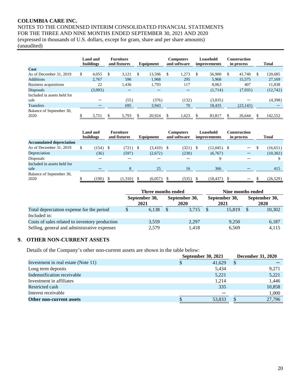# **COLUMBIA CARE INC.**

NOTES TO THE CONDENSED INTERIM CONSOLIDATED FINANCIAL STATEMENTS FOR THE THREE AND NINE MONTHS ENDED SEPTEMBER 30, 2021 AND 2020 (expressed in thousands of U.S. dollars, except for gram, share and per share amounts)

(unaudited)

|                                  | Land and<br>buildings | <b>Furniture</b><br>and fixtures<br>Equipment |    | <b>Computers</b><br>and software |     | Leasehold<br>improvements |          | Construction<br>in process |    |           | <b>Total</b> |           |
|----------------------------------|-----------------------|-----------------------------------------------|----|----------------------------------|-----|---------------------------|----------|----------------------------|----|-----------|--------------|-----------|
| Cost                             |                       |                                               |    |                                  |     |                           |          |                            |    |           |              |           |
| As of December 31, 2019          | \$<br>4.055           | \$<br>3,121                                   | \$ | 13,596                           | \$. | 1,273                     | <b>S</b> | 56,900                     | -S | 41,740    | S.           | 120,685   |
| <b>Additions</b>                 | 2.767                 | 596                                           |    | 1.968                            |     | 295                       |          | 5,968                      |    | 15,575    |              | 27,169    |
| Business acquisitions            | 22                    | 1.436                                         |    | 1.793                            |     | 117                       |          | 8.063                      |    | 407       |              | 11,838    |
| <b>Disposals</b>                 | (3,093)               |                                               |    |                                  |     |                           |          | (1,714)                    |    | (7,935)   |              | (12, 742) |
| Included in assets held for      |                       |                                               |    |                                  |     |                           |          |                            |    |           |              |           |
| sale                             |                       | (55)                                          |    | (376)                            |     | (132)                     |          | (3,835)                    |    |           |              | (4,398)   |
| <b>Transfers</b>                 |                       | 695                                           |    | 3,943                            |     | 70                        |          | 18,435                     |    | (23, 143) |              |           |
| Balance of September 30,<br>2020 | 3,751                 | 5,793                                         |    | 20,924                           |     | 1,623                     |          | 83,817                     |    | 26,644    |              | 142,552   |

|                                 | <b>Land and</b><br>buildings |      | <b>Furniture</b><br>and fixtures | Equipment    | Computers<br>and software | Leasehold<br><i>improvements</i> | Construction<br>in process | <b>Total</b> |
|---------------------------------|------------------------------|------|----------------------------------|--------------|---------------------------|----------------------------------|----------------------------|--------------|
| <b>Accumulated depreciation</b> |                              |      |                                  |              |                           |                                  |                            |              |
| As of December 31, 2019         | (154)                        | - \$ | $(721)$ \$                       | $(3,410)$ \$ | (321)                     | $(12,045)$ \$                    | $\qquad \qquad$            | (16, 651)    |
| Depreciation                    | (36)                         |      | (597)                            | (2,672)      | (230)                     | (6,767)                          |                            | (10,302)     |
| Disposals                       |                              |      |                                  |              |                           | 9                                |                            |              |
| Included in assets held for     |                              |      |                                  |              |                           |                                  |                            |              |
| sale                            |                              |      |                                  | 25           | 16                        | 366                              |                            | 415          |
| Balance of September 30,        |                              |      |                                  |              |                           |                                  |                            |              |
| 2020                            | (190)                        |      | (1,310)                          | (6,057)      | (535)                     | (18, 437)                        |                            | (26, 529)    |

|                                                |                       | Three months ended |                       | Nine months ended |                       |                       |        |  |  |  |
|------------------------------------------------|-----------------------|--------------------|-----------------------|-------------------|-----------------------|-----------------------|--------|--|--|--|
|                                                | September 30,<br>2021 |                    | September 30,<br>2020 |                   | September 30,<br>2021 | September 30,<br>2020 |        |  |  |  |
| Total depreciation expense for the period      |                       | 6,138              | 3.715                 |                   | 15.819                |                       | 10,302 |  |  |  |
| Included in:                                   |                       |                    |                       |                   |                       |                       |        |  |  |  |
| Costs of sales related to inventory production |                       | 3,559              | 2,297                 |                   | 9.250                 |                       | 6,187  |  |  |  |
| Selling, general and administrative expenses   |                       | 2,579              | 1,418                 |                   | 6,569                 |                       | 4,115  |  |  |  |

# **9. OTHER NON-CURRENT ASSETS**

Details of the Company's other non-current assets are shown in the table below:

|                                     | <b>September 30, 2021</b> | <b>December 31, 2020</b> |
|-------------------------------------|---------------------------|--------------------------|
| Investment in real estate (Note 11) | 41,629                    | S                        |
| Long term deposits                  | 5,434                     | 9,271                    |
| Indemnification receivable          | 5,221                     | 5,221                    |
| Investment in affiliates            | 1,214                     | 1,446                    |
| Restricted cash                     | 335                       | 10,858                   |
| Interest receivable                 |                           | 1,000                    |
| Other non-current assets            | 53,833                    | 27,796                   |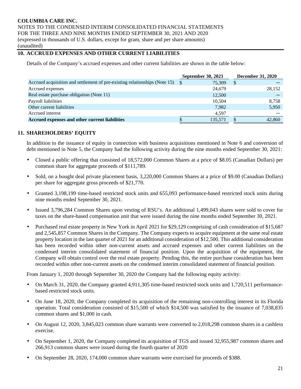# **COLUMBIA CARE INC.**

NOTES TO THE CONDENSED INTERIM CONSOLIDATED FINANCIAL STATEMENTS FOR THE THREE AND NINE MONTHS ENDED SEPTEMBER 30, 2021 AND 2020 (expressed in thousands of U.S. dollars, except for gram, share and per share amounts) (unaudited)

# **10. ACCRUED EXPENSES AND OTHER CURRENT LIABILITIES**

Details of the Company's accrued expenses and other current liabilities are shown in the table below:

|                                                                               | <b>September 30, 2021</b> | <b>December 31, 2020</b> |
|-------------------------------------------------------------------------------|---------------------------|--------------------------|
| Accrued acquisition and settlement of pre-existing relationships (Note 15) \$ | 75.309                    | S                        |
| Accrued expenses                                                              | 24,679                    | 28,152                   |
| Real estate purchase obligation (Note 11)                                     | 12,500                    |                          |
| Payroll liabilities                                                           | 10,504                    | 8,758                    |
| Other current liabilities                                                     | 7.982                     | 5,950                    |
| Accrued interest                                                              | 4.597                     |                          |
| Accrued expenses and other current liabilities                                | 135,571                   | 42,860                   |

# **11. SHAREHOLDERS' EQUITY**

In addition to the issuance of equity in connection with business acquisitions mentioned in Note 6 and conversion of debt mentioned in Note 5, the Company had the following activity during the nine months ended September 30, 2021:

- Closed a public offering that consisted of 18,572,000 Common Shares at a price of \$8.05 (Canadian Dollars) per common share for aggregate proceeds of \$111,789.
- Sold, on a bought deal private placement basis, 3,220,000 Common Shares at a price of \$9.00 (Canadian Dollars) per share for aggregate gross proceeds of \$21,770.
- Granted 3,198,199 time-based restricted stock units and 655,093 performance-based restricted stock units during nine months ended September 30, 2021.
- Issued 3,796,284 Common Shares upon vesting of RSU's. An additional 1,499,043 shares were sold to cover for taxes on the share-based compensation unit that were issued during the nine months ended September 30, 2021.
- Purchased real estate property in New York in April 2021 for \$29,129 comprising of cash consideration of \$15,687 and 2,545,857 Common Shares in the Company. The Company expects to acquire equipment at the same real estate property location in the last quarter of 2021 for an additional consideration of \$12,500. This additional consideration has been recorded within other non-current assets and accrued expenses and other current liabilities on the condensed interim consolidated statement of financial position. Upon the acquisition of the equipment, the Company will obtain control over the real estate property. Pending this, the entire purchase consideration has been recorded within other non-current assets on the condensed interim consolidated statement of financial position.

From January 1, 2020 through September 30, 2020 the Company had the following equity activity:

- On March 31, 2020, the Company granted 4,911,305 time-based restricted stock units and 1,720,511 performancebased restricted stock units.
- On June 18, 2020, the Company completed its acquisition of the remaining non-controlling interest in its Florida operation. Total consideration consisted of \$15,500 of which \$14,500 was satisfied by the issuance of 7,038,835 common shares and \$1,000 in cash.
- On August 12, 2020, 3,845,023 common share warrants were converted to 2,018,298 common shares in a cashless exercise.
- On September 1, 2020, the Company completed its acquisition of TGS and issued 32,955,987 common shares and 266,913 common shares were issued during the fourth quarter of 2020
- On September 28, 2020, 174,000 common share warrants were exercised for proceeds of \$388.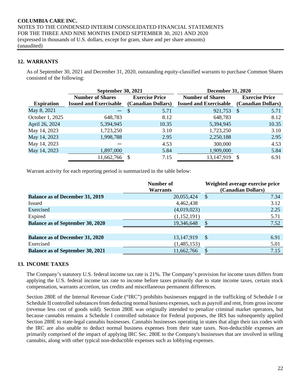# **12. WARRANTS**

As of September 30, 2021 and December 31, 2020, outstanding equity-classified warrants to purchase Common Shares consisted of the following:

|                   | <b>September 30, 2021</b>     |                       | <b>December 31, 2020</b>      |                       |  |  |  |  |
|-------------------|-------------------------------|-----------------------|-------------------------------|-----------------------|--|--|--|--|
|                   | <b>Number of Shares</b>       | <b>Exercise Price</b> | <b>Number of Shares</b>       | <b>Exercise Price</b> |  |  |  |  |
| <b>Expiration</b> | <b>Issued and Exercisable</b> | (Canadian Dollars)    | <b>Issued and Exercisable</b> | (Canadian Dollars)    |  |  |  |  |
| May 8, 2021       | ш,                            | 5.71<br>$\sim$ \$     | 921,753                       | 5.71<br>-S            |  |  |  |  |
| October 1, 2025   | 648,783                       | 8.12                  | 648,783                       | 8.12                  |  |  |  |  |
| April 26, 2024    | 5,394,945                     | 10.35                 | 5,394,945                     | 10.35                 |  |  |  |  |
| May 14, 2023      | 1,723,250                     | 3.10                  | 1,723,250                     | 3.10                  |  |  |  |  |
| May 14, 2023      | 1,998,788                     | 2.95                  | 2,250,188                     | 2.95                  |  |  |  |  |
| May 14, 2023      |                               | 4.53                  | 300,000                       | 4.53                  |  |  |  |  |
| May 14, 2023      | 1,897,000                     | 5.84                  | 1,909,000                     | 5.84                  |  |  |  |  |
|                   | 11,662,766                    | 7.15                  | 13,147,919                    | 6.91<br><b>S</b>      |  |  |  |  |

Warrant activity for each reporting period is summarized in the table below:

|                                         | Weighted average exercise price<br>(Canadian Dollars) |                                    |  |  |  |
|-----------------------------------------|-------------------------------------------------------|------------------------------------|--|--|--|
| <b>Balance as of December 31, 2019</b>  | 20,055,424                                            | 7.34<br>$\mathcal{S}$              |  |  |  |
| Issued                                  | 4,462,438                                             | 3.12                               |  |  |  |
| Exercised                               | (4,019,023)                                           | 2.25                               |  |  |  |
| Expired                                 | (1,152,191)                                           | 5.71                               |  |  |  |
| <b>Balance as of September 30, 2020</b> | 19,346,648                                            | 7.52<br>\$                         |  |  |  |
|                                         |                                                       |                                    |  |  |  |
| <b>Balance as of December 31, 2020</b>  | 13, 147, 919                                          | $\boldsymbol{\mathcal{S}}$<br>6.91 |  |  |  |
| Exercised                               | (1,485,153)                                           | 5.01                               |  |  |  |
| <b>Balance as of September 30, 2021</b> | 11,662,766                                            | 7.15<br>\$                         |  |  |  |

# **13. INCOME TAXES**

The Company's statutory U.S. federal income tax rate is 21%. The Company's provision for income taxes differs from applying the U.S. federal income tax rate to income before taxes primarily due to state income taxes, certain stock compensation, warrants accretion, tax credits and miscellaneous permanent differences.

Section 280E of the Internal Revenue Code ("IRC") prohibits businesses engaged in the trafficking of Schedule I or Schedule II controlled substances from deducting normal business expenses, such as payroll and rent, from gross income (revenue less cost of goods sold). Section 280E was originally intended to penalize criminal market operators, but because cannabis remains a Schedule I controlled substance for Federal purposes, the IRS has subsequently applied Section 280E to state-legal cannabis businesses. Cannabis businesses operating in states that align their tax codes with the IRC are also unable to deduct normal business expenses from their state taxes. Non-deductible expenses are primarily comprised of the impact of applying IRC Sec. 280E to the Company's businesses that are involved in selling cannabis, along with other typical non-deductible expenses such as lobbying expenses.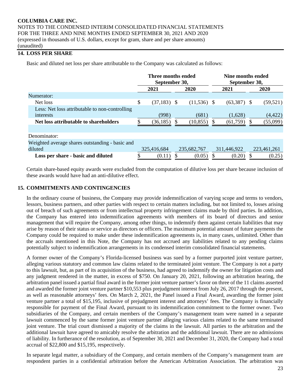# **14. LOSS PER SHARE**

Basic and diluted net loss per share attributable to the Company was calculated as follows:

|                                                 |      | Three months ended<br>September 30, |          |               | Nine months ended<br>September 30, |               |    |             |
|-------------------------------------------------|------|-------------------------------------|----------|---------------|------------------------------------|---------------|----|-------------|
|                                                 | 2021 |                                     | 2020     |               |                                    | 2021          |    | 2020        |
| Numerator:                                      |      |                                     |          |               |                                    |               |    |             |
| Net loss                                        | \$   | (37, 183)                           | - \$     | $(11,536)$ \$ |                                    | $(63,387)$ \$ |    | (59, 521)   |
| Less: Net loss attributable to non-controlling  |      |                                     |          |               |                                    |               |    |             |
| interests                                       |      | (998)                               |          | (681)         |                                    | (1,628)       |    | (4, 422)    |
| Net loss attributable to shareholders           |      | (36, 185)                           | <b>S</b> | (10, 855)     | S                                  | (61,759)      | S. | (55,099)    |
|                                                 |      |                                     |          |               |                                    |               |    |             |
| Denominator:                                    |      |                                     |          |               |                                    |               |    |             |
| Weighted average shares outstanding - basic and |      |                                     |          |               |                                    |               |    |             |
| diluted                                         |      | 325,416,684                         |          | 235,682,767   |                                    | 311,446,922   |    | 223,461,261 |
| Loss per share - basic and diluted              |      | (0.11)                              | P.       | (0.05)        |                                    | (0.20)        | Ъ. | (0.25)      |

Certain share-based equity awards were excluded from the computation of dilutive loss per share because inclusion of these awards would have had an anti-dilutive effect.

# **15. COMMITMENTS AND CONTINGENCIES**

In the ordinary course of business, the Company may provide indemnification of varying scope and terms to vendors, lessors, business partners, and other parties with respect to certain matters including, but not limited to, losses arising out of breach of such agreements or from intellectual property infringement claims made by third parties. In addition, the Company has entered into indemnification agreements with members of its board of directors and senior management that will require the Company, among other things, to indemnify them against certain liabilities that may arise by reason of their status or service as directors or officers. The maximum potential amount of future payments the Company could be required to make under these indemnification agreements is, in many cases, unlimited. Other than the accruals mentioned in this Note, the Company has not accrued any liabilities related to any pending claims potentially subject to indemnification arrangements in its condensed interim consolidated financial statements.

A former owner of the Company's Florida-licensed business was sued by a former purported joint venture partner, alleging various statutory and common law claims related to the terminated joint venture. The Company is not a party to this lawsuit, but, as part of its acquisition of the business, had agreed to indemnify the owner for litigation costs and any judgment rendered in the matter, in excess of \$750. On January 20, 2021, following an arbitration hearing, the arbitration panel issued a partial final award in the former joint venture partner's favor on three of the 11 claims asserted and awarded the former joint venture partner \$10,553 plus prejudgment interest from July 26, 2017 through the present, as well as reasonable attorneys' fees. On March 2, 2021, the Panel issued a Final Award, awarding the former joint venture partner a total of \$15,195, inclusive of prejudgment interest and attorneys' fees. The Company is financially responsible for payment of the Final Award, pursuant to its indemnification commitment to the former owner. Two subsidiaries of the Company, and certain members of the Company's management team were named in a separate lawsuit commenced by the same former joint venture partner alleging various claims related to the same terminated joint venture. The trial court dismissed a majority of the claims in the lawsuit. All parties to the arbitration and the additional lawsuit have agreed to amicably resolve the arbitration and the additional lawsuit. There are no admissions of liability. In furtherance of the resolution, as of September 30, 2021 and December 31, 2020, the Company had a total accrual of \$22,800 and \$15,195, respectively.

In separate legal matter, a subsidiary of the Company, and certain members of the Company's management team are respondent parties in a confidential arbitration before the American Arbitration Association. The arbitration was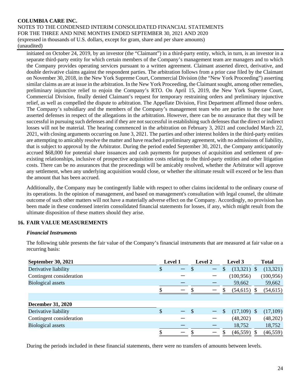initiated on October 24, 2019, by an investor (the "Claimant") in a third-party entity, which, in turn, is an investor in a separate third-party entity for which certain members of the Company's management team are managers and to which the Company provides operating services pursuant to a written agreement. Claimant asserted direct, derivative, and double derivative claims against the respondent parties. The arbitration follows from a prior case filed by the Claimant on November 30, 2018, in the New York Supreme Court, Commercial Division (the "New York Proceeding") asserting similar claims as are at issue in the arbitration. In the New York Proceeding, the Claimant sought, among other remedies, preliminary injunctive relief to enjoin the Company's RTO. On April 15, 2019, the New York Supreme Court, Commercial Division, finally denied Claimant's request for temporary restraining orders and preliminary injunctive relief, as well as compelled the dispute to arbitration. The Appellate Division, First Department affirmed those orders. The Company's subsidiary and the members of the Company's management team who are parties to the case have asserted defenses in respect of the allegations in the arbitration. However, there can be no assurance that they will be successful in pursuing such defenses and if they are not successful in establishing such defenses that the direct or indirect losses will not be material. The hearing commenced in the arbitration on February 3, 2021 and concluded March 22, 2021, with closing arguments occurring on June 3, 2021. The parties and other interest holders in the third-party entities are attempting to amicably resolve the matter and have reached a preliminary agreement, with no admissions of liability, that is subject to approval by the Arbitrator. During the period ended September 30, 2021, the Company anticipatorily accrued \$68,000 for potential share issuances and cash payments for purposes of acquisition and settlement of preexisting relationships, inclusive of prospective acquisition costs relating to the third-party entities and other litigation costs. There can be no assurances that the proceedings will be amicably resolved, whether the Arbitrator will approve any settlement, when any underlying acquisition would close, or whether the ultimate result will exceed or be less than the amount that has been accrued.

Additionally, the Company may be contingently liable with respect to other claims incidental to the ordinary course of its operations. In the opinion of management, and based on management's consultation with legal counsel, the ultimate outcome of such other matters will not have a materially adverse effect on the Company. Accordingly, no provision has been made in these condensed interim consolidated financial statements for losses, if any, which might result from the ultimate disposition of these matters should they arise.

# **16. FAIR VALUE MEASUREMENTS**

# *Financial Instruments*

The following table presents the fair value of the Company's financial instruments that are measured at fair value on a recurring basis:

| <b>September 30, 2021</b> | Level 1                        | <b>Level 2</b>           | Level 3            | <b>Total</b> |
|---------------------------|--------------------------------|--------------------------|--------------------|--------------|
| Derivative liability      | \$<br>$\overline{\phantom{0}}$ | $\overline{\phantom{0}}$ | $(13,321)$ \$<br>S | (13,321)     |
| Contingent consideration  |                                |                          | (100, 956)         | (100, 956)   |
| <b>Biological assets</b>  |                                |                          | 59,662             | 59,662       |
|                           | —                              |                          | $(54,615)$ \$      | (54, 615)    |
|                           |                                |                          |                    |              |
| <b>December 31, 2020</b>  |                                |                          |                    |              |
| Derivative liability      | \$<br>$-$ \$                   |                          | $(17,109)$ \$<br>S | (17,109)     |
| Contingent consideration  |                                |                          | (48,202)           | (48,202)     |
| Biological assets         |                                |                          | 18,752             | 18,752       |
|                           | —                              |                          | $(46,559)$ \$      | (46, 559)    |

During the periods included in these financial statements, there were no transfers of amounts between levels.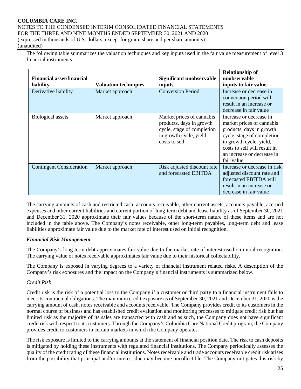The following table summarizes the valuation techniques and key inputs used in the fair value measurement of level 3 financial instruments:

| <b>Financial asset/financial</b><br>liability | <b>Valuation techniques</b> | Significant unobservable<br>inputs                                                                                              | <b>Relationship of</b><br>unobservable<br>inputs to fair value                                                                                                                                                        |
|-----------------------------------------------|-----------------------------|---------------------------------------------------------------------------------------------------------------------------------|-----------------------------------------------------------------------------------------------------------------------------------------------------------------------------------------------------------------------|
| Derivative liability                          | Market approach             | <b>Conversion Period</b>                                                                                                        | Increase or decrease in<br>conversion period will<br>result in an increase or<br>decrease in fair value                                                                                                               |
| Biological assets                             | Market approach             | Market prices of cannabis<br>products, days in growth<br>cycle, stage of completion<br>in growth cycle, yield,<br>costs to sell | Increase or decrease in<br>market prices of cannabis<br>products, days in growth<br>cycle, stage of completion<br>in growth cycle, yield,<br>costs to sell will result in<br>an increase or decrease in<br>fair value |
| <b>Contingent Consideration</b>               | Market approach             | Risk adjusted discount rate<br>and forecasted EBITDA                                                                            | Increase or decrease in risk<br>adjusted discount rate and<br>forecasted EBITDA will<br>result in an increase or<br>decrease in fair value                                                                            |

The carrying amounts of cash and restricted cash, accounts receivable, other current assets, accounts payable, accrued expenses and other current liabilities and current portion of long-term debt and lease liability as of September 30, 2021 and December 31, 2020 approximate their fair values because of the short-term nature of these items and are not included in the table above. The Company's notes receivable, other long-term payables, long-term debt and lease liabilities approximate fair value due to the market rate of interest used on initial recognition.

# *Financial Risk Management*

The Company's long-term debt approximates fair value due to the market rate of interest used on initial recognition. The carrying value of notes receivable approximates fair value due to their historical collectability.

The Company is exposed in varying degrees to a variety of financial instrument related risks. A description of the Company's risk exposures and the impact on the Company's financial instruments is summarized below.

# *Credit Risk*

Credit risk is the risk of a potential loss to the Company if a customer or third party to a financial instrument fails to meet its contractual obligations. The maximum credit exposure as of September 30, 2021 and December 31, 2020 is the carrying amount of cash, notes receivable and accounts receivable. The Company provides credit to its customers in the normal course of business and has established credit evaluation and monitoring processes to mitigate credit risk but has limited risk as the majority of its sales are transacted with cash and as such, the Company does not have significant credit risk with respect to its customers. Through the Company's Columbia Care National Credit program, the Company provides credit to customers in certain markets in which the Company operates.

The risk exposure is limited to the carrying amounts at the statement of financial position date. The risk to cash deposits is mitigated by holding these instruments with regulated financial institutions. The Company periodically assesses the quality of the credit rating of these financial institutions. Notes receivable and trade accounts receivable credit risk arises from the possibility that principal and/or interest due may become uncollectible. The Company mitigates this risk by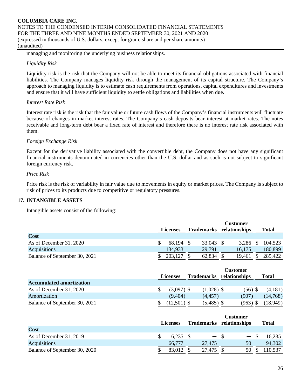managing and monitoring the underlying business relationships.

# *Liquidity Risk*

Liquidity risk is the risk that the Company will not be able to meet its financial obligations associated with financial liabilities. The Company manages liquidity risk through the management of its capital structure. The Company's approach to managing liquidity is to estimate cash requirements from operations, capital expenditures and investments and ensure that it will have sufficient liquidity to settle obligations and liabilities when due.

# *Interest Rate Risk*

Interest rate risk is the risk that the fair value or future cash flows of the Company's financial instruments will fluctuate because of changes in market interest rates. The Company's cash deposits bear interest at market rates. The notes receivable and long-term debt bear a fixed rate of interest and therefore there is no interest rate risk associated with them.

# *Foreign Exchange Risk*

Except for the derivative liability associated with the convertible debt, the Company does not have any significant financial instruments denominated in currencies other than the U.S. dollar and as such is not subject to significant foreign currency risk.

# *Price Risk*

Price risk is the risk of variability in fair value due to movements in equity or market prices. The Company is subject to risk of prices to its products due to competitive or regulatory pressures.

# **17. INTANGIBLE ASSETS**

Intangible assets consist of the following:

|                               | <b>Customer</b><br>relationships<br><b>Trademarks</b><br><b>Licenses</b> |  |           |  | <b>Total</b> |  |         |
|-------------------------------|--------------------------------------------------------------------------|--|-----------|--|--------------|--|---------|
| Cost                          |                                                                          |  |           |  |              |  |         |
| As of December 31, 2020       | 68,194                                                                   |  | 33,043 \$ |  | $3,286$ \$   |  | 104,523 |
| Acquisitions                  | 134,933                                                                  |  | 29,791    |  | 16,175       |  | 180,899 |
| Balance of September 30, 2021 | 203,127                                                                  |  | 62,834    |  | 19,461       |  | 285,422 |

|                                 |                 |                          | <b>Customer</b> |          |
|---------------------------------|-----------------|--------------------------|-----------------|----------|
|                                 | <b>Licenses</b> | Trademarks relationships |                 | Total    |
| <b>Accumulated amortization</b> |                 |                          |                 |          |
| As of December 31, 2020         | $(3,097)$ \$    | $(1,028)$ \$             | $(56)$ \$       | (4,181)  |
| Amortization                    | (9.404)         | (4.457)                  | (907)           | (14,768) |
| Balance of September 30, 2021   | $12,501$ ) \$   | $(5,485)$ \$             | (963)           | 18,949)  |

|                               |                 |             | <b>Customer</b>   |                          |               |                          |       |        |
|-------------------------------|-----------------|-------------|-------------------|--------------------------|---------------|--------------------------|-------|--------|
|                               | <b>Licenses</b> |             | <b>Trademarks</b> |                          | relationships |                          | Total |        |
| <b>Cost</b>                   |                 |             |                   |                          |               |                          |       |        |
| As of December 31, 2019       |                 | $16,235$ \$ |                   | $\overline{\phantom{0}}$ |               | $\overline{\phantom{0}}$ |       | 16,235 |
| Acquisitions                  |                 | 66,777      |                   | 27.475                   |               | 50                       |       | 94,302 |
| Balance of September 30, 2020 |                 | 83,012      |                   | 27,475                   |               | 50                       |       | 10,537 |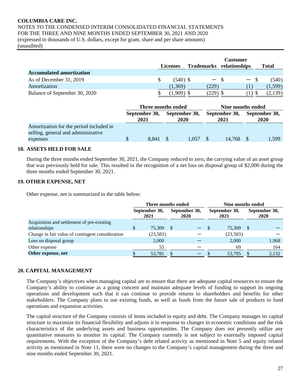|                                 | Licenses |            |  |            | <b>Customer</b><br>Trademarks relationships |                   | <b>Total</b> |  |
|---------------------------------|----------|------------|--|------------|---------------------------------------------|-------------------|--------------|--|
| <b>Accumulated amortization</b> |          |            |  |            |                                             |                   |              |  |
| As of December 31, 2019         |          | $(540)$ \$ |  | $-$ \$     |                                             | $\qquad \qquad -$ | (540)        |  |
| Amortization                    |          | (1,369)    |  | (229)      |                                             |                   | (1,599)      |  |
| Balance of September 30, 2020   |          | (1,909)    |  | $(229)$ \$ |                                             |                   | (2,139)      |  |

|                                                                                | Three months ended |                       |                       |       |                       | Nine months ended |                       |       |  |  |  |
|--------------------------------------------------------------------------------|--------------------|-----------------------|-----------------------|-------|-----------------------|-------------------|-----------------------|-------|--|--|--|
|                                                                                |                    | September 30,<br>2021 | September 30,<br>2020 |       | September 30,<br>2021 |                   | September 30,<br>2020 |       |  |  |  |
| Amortization for the period included in<br>selling, general and administrative |                    |                       |                       |       |                       |                   |                       |       |  |  |  |
| expenses                                                                       | \$.                | 8.841                 |                       | 1.057 |                       | 14.768 \$         |                       | 1,599 |  |  |  |

#### **18. ASSETS HELD FOR SALE**

During the three months ended September 30, 2021, the Company reduced to zero, the carrying value of an asset group that was previously held for sale. This resulted in the recognition of a net loss on disposal group of \$2,000 during the three months ended September 30, 2021.

# **19. OTHER EXPENSE, NET**

Other expense, net is summarized in the table below:

|                                                  | Three months ended    |          |                       |  |                       | Nine months ended |                              |       |  |  |  |
|--------------------------------------------------|-----------------------|----------|-----------------------|--|-----------------------|-------------------|------------------------------|-------|--|--|--|
|                                                  | September 30,<br>2021 |          | September 30,<br>2020 |  | September 30,<br>2021 |                   | September 30,<br><b>2020</b> |       |  |  |  |
| Acquisition and settlement of pre-existing       |                       |          |                       |  |                       |                   |                              |       |  |  |  |
| relationships                                    |                       | 75.309   | - \$                  |  | <b>JD</b>             | 75,309            | -S                           |       |  |  |  |
| Change in fair value of contingent consideration |                       | (23,583) |                       |  |                       | (23, 583)         |                              |       |  |  |  |
| Loss on disposal group                           |                       | 2,000    |                       |  |                       | 2.000             |                              | 1,968 |  |  |  |
| Other expense                                    |                       | 55       |                       |  |                       | 69                |                              | 164   |  |  |  |
| Other expense, net                               |                       | 53,781   |                       |  |                       | 53,795            |                              | 2,132 |  |  |  |

# **20. CAPITAL MANAGEMENT**

The Company's objectives when managing capital are to ensure that there are adequate capital resources to ensure the Company's ability to continue as a going concern and maintain adequate levels of funding to support its ongoing operations and development such that it can continue to provide returns to shareholders and benefits for other stakeholders. The Company plans to use existing funds, as well as funds from the future sale of products to fund operations and expansion activities.

The capital structure of the Company consists of items included in equity and debt. The Company manages its capital structure to maximize its financial flexibility and adjusts it in response to changes in economic conditions and the risk characteristics of the underlying assets and business opportunities. The Company does not presently utilize any quantitative measures to monitor its capital. The Company currently is not subject to externally imposed capital requirements. With the exception of the Company's debt related activity as mentioned in Note 5 and equity related activity as mentioned in Note 11, there were no changes to the Company's capital management during the three and nine months ended September 30, 2021.